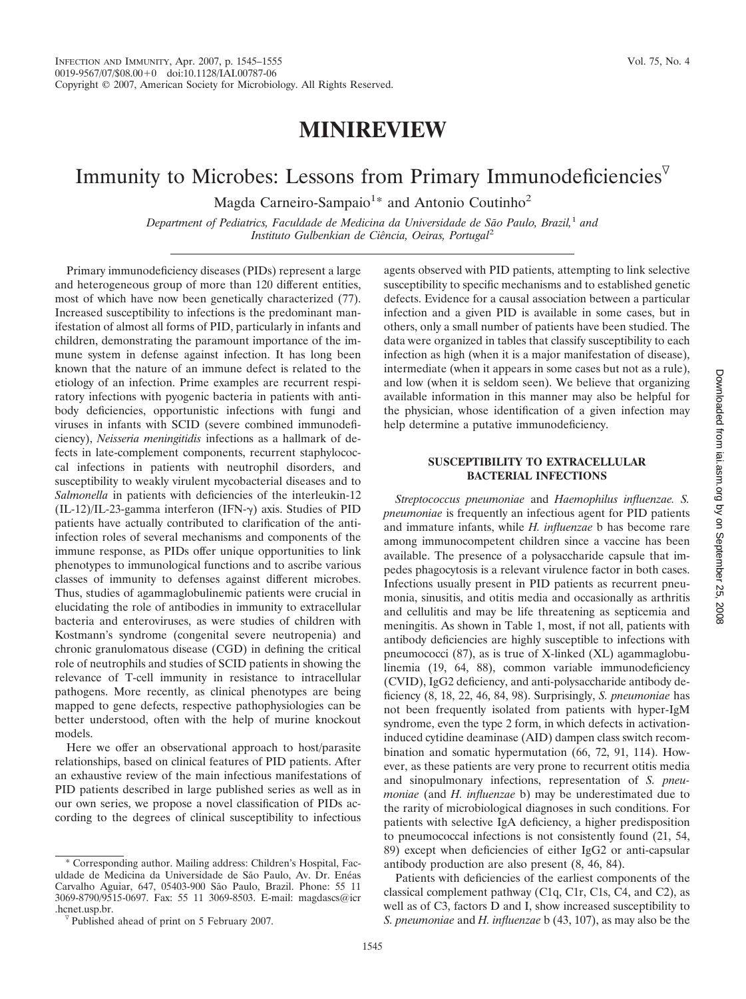# **MINIREVIEW**

## Immunity to Microbes: Lessons from Primary Immunodeficiencies $\mathbb{V}$

Magda Carneiro-Sampaio<sup>1</sup>\* and Antonio Coutinho<sup>2</sup>

*Department of Pediatrics, Faculdade de Medicina da Universidade de Sa˜o Paulo, Brazil,*<sup>1</sup> *and Instituto Gulbenkian de Ciência, Oeiras, Portugal<sup>2</sup>* 

Primary immunodeficiency diseases (PIDs) represent a large and heterogeneous group of more than 120 different entities, most of which have now been genetically characterized (77). Increased susceptibility to infections is the predominant manifestation of almost all forms of PID, particularly in infants and children, demonstrating the paramount importance of the immune system in defense against infection. It has long been known that the nature of an immune defect is related to the etiology of an infection. Prime examples are recurrent respiratory infections with pyogenic bacteria in patients with antibody deficiencies, opportunistic infections with fungi and viruses in infants with SCID (severe combined immunodeficiency), *Neisseria meningitidis* infections as a hallmark of defects in late-complement components, recurrent staphylococcal infections in patients with neutrophil disorders, and susceptibility to weakly virulent mycobacterial diseases and to *Salmonella* in patients with deficiencies of the interleukin-12  $(IL-12)/IL-23$ -gamma interferon  $(IFN-\gamma)$  axis. Studies of PID patients have actually contributed to clarification of the antiinfection roles of several mechanisms and components of the immune response, as PIDs offer unique opportunities to link phenotypes to immunological functions and to ascribe various classes of immunity to defenses against different microbes. Thus, studies of agammaglobulinemic patients were crucial in elucidating the role of antibodies in immunity to extracellular bacteria and enteroviruses, as were studies of children with Kostmann's syndrome (congenital severe neutropenia) and chronic granulomatous disease (CGD) in defining the critical role of neutrophils and studies of SCID patients in showing the relevance of T-cell immunity in resistance to intracellular pathogens. More recently, as clinical phenotypes are being mapped to gene defects, respective pathophysiologies can be better understood, often with the help of murine knockout models.

Here we offer an observational approach to host/parasite relationships, based on clinical features of PID patients. After an exhaustive review of the main infectious manifestations of PID patients described in large published series as well as in our own series, we propose a novel classification of PIDs according to the degrees of clinical susceptibility to infectious agents observed with PID patients, attempting to link selective susceptibility to specific mechanisms and to established genetic defects. Evidence for a causal association between a particular infection and a given PID is available in some cases, but in others, only a small number of patients have been studied. The data were organized in tables that classify susceptibility to each infection as high (when it is a major manifestation of disease), intermediate (when it appears in some cases but not as a rule), and low (when it is seldom seen). We believe that organizing available information in this manner may also be helpful for the physician, whose identification of a given infection may help determine a putative immunodeficiency.

### **SUSCEPTIBILITY TO EXTRACELLULAR BACTERIAL INFECTIONS**

*Streptococcus pneumoniae* and *Haemophilus influenzae. S. pneumoniae* is frequently an infectious agent for PID patients and immature infants, while *H. influenzae* b has become rare among immunocompetent children since a vaccine has been available. The presence of a polysaccharide capsule that impedes phagocytosis is a relevant virulence factor in both cases. Infections usually present in PID patients as recurrent pneumonia, sinusitis, and otitis media and occasionally as arthritis and cellulitis and may be life threatening as septicemia and meningitis. As shown in Table 1, most, if not all, patients with antibody deficiencies are highly susceptible to infections with pneumococci (87), as is true of X-linked (XL) agammaglobulinemia (19, 64, 88), common variable immunodeficiency (CVID), IgG2 deficiency, and anti-polysaccharide antibody deficiency (8, 18, 22, 46, 84, 98). Surprisingly, *S. pneumoniae* has not been frequently isolated from patients with hyper-IgM syndrome, even the type 2 form, in which defects in activationinduced cytidine deaminase (AID) dampen class switch recombination and somatic hypermutation (66, 72, 91, 114). However, as these patients are very prone to recurrent otitis media and sinopulmonary infections, representation of *S. pneumoniae* (and *H. influenzae* b) may be underestimated due to the rarity of microbiological diagnoses in such conditions. For patients with selective IgA deficiency, a higher predisposition to pneumococcal infections is not consistently found (21, 54, 89) except when deficiencies of either IgG2 or anti-capsular antibody production are also present (8, 46, 84).

Patients with deficiencies of the earliest components of the classical complement pathway (C1q, C1r, C1s, C4, and C2), as well as of C3, factors D and I, show increased susceptibility to *S. pneumoniae* and *H. influenzae* b (43, 107), as may also be the

Corresponding author. Mailing address: Children's Hospital, Faculdade de Medicina da Universidade de São Paulo, Av. Dr. Enéas Carvalho Aguiar, 647, 05403-900 São Paulo, Brazil. Phone: 55 11 3069-8790/9515-0697. Fax: 55 11 3069-8503. E-mail: magdascs@icr

 $\nabla$  Published ahead of print on 5 February 2007.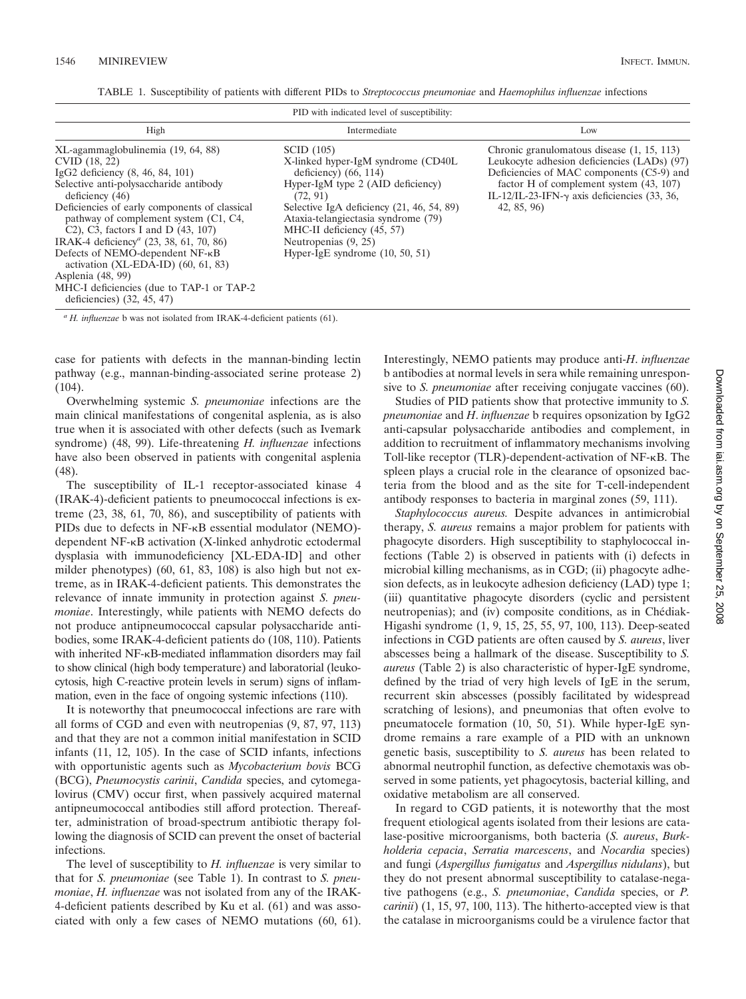| TABLE 1. Susceptibility of patients with different PIDs to Streptococcus pneumoniae and Haemophilus influenzae infections |  |  |  |  |
|---------------------------------------------------------------------------------------------------------------------------|--|--|--|--|
|                                                                                                                           |  |  |  |  |

| PID with indicated level of susceptibility:                                                                                                                                                                                                                                                                                                                                                                                                                                                                                                      |                                                                                                                                                                                                                                                                                                                  |                                                                                                                                                                                                                                                           |  |
|--------------------------------------------------------------------------------------------------------------------------------------------------------------------------------------------------------------------------------------------------------------------------------------------------------------------------------------------------------------------------------------------------------------------------------------------------------------------------------------------------------------------------------------------------|------------------------------------------------------------------------------------------------------------------------------------------------------------------------------------------------------------------------------------------------------------------------------------------------------------------|-----------------------------------------------------------------------------------------------------------------------------------------------------------------------------------------------------------------------------------------------------------|--|
| High                                                                                                                                                                                                                                                                                                                                                                                                                                                                                                                                             | Intermediate                                                                                                                                                                                                                                                                                                     | Low                                                                                                                                                                                                                                                       |  |
| XL-agammaglobulinemia (19, 64, 88)<br>CVID (18, 22)<br>IgG2 deficiency $(8, 46, 84, 101)$<br>Selective anti-polysaccharide antibody<br>deficiency (46)<br>Deficiencies of early components of classical<br>pathway of complement system (C1, C4,<br>C2), C3, factors I and D $(43, 107)$<br>IRAK-4 deficiency <sup><i>a</i></sup> (23, 38, 61, 70, 86)<br>Defects of NEMO-dependent NF- <sub>KB</sub><br>activation (XL-EDA-ID) $(60, 61, 83)$<br>Asplenia (48, 99)<br>MHC-I deficiencies (due to TAP-1 or TAP-2<br>deficiencies) $(32, 45, 47)$ | SCID $(105)$<br>X-linked hyper-IgM syndrome (CD40L)<br>deficiency) $(66, 114)$<br>Hyper-IgM type 2 (AID deficiency)<br>(72, 91)<br>Selective IgA deficiency $(21, 46, 54, 89)$<br>Ataxia-telangiectasia syndrome (79)<br>MHC-II deficiency (45, 57)<br>Neutropenias (9, 25)<br>Hyper-IgE syndrome $(10, 50, 51)$ | Chronic granulomatous disease (1, 15, 113)<br>Leukocyte adhesion deficiencies (LADs) (97)<br>Deficiencies of MAC components (C5-9) and<br>factor H of complement system $(43, 107)$<br>IL-12/IL-23-IFN- $\gamma$ axis deficiencies (33, 36,<br>42, 85, 96 |  |

*<sup>a</sup> H. influenzae* b was not isolated from IRAK-4-deficient patients (61).

case for patients with defects in the mannan-binding lectin pathway (e.g., mannan-binding-associated serine protease 2) (104).

Overwhelming systemic *S. pneumoniae* infections are the main clinical manifestations of congenital asplenia, as is also true when it is associated with other defects (such as Ivemark syndrome) (48, 99). Life-threatening *H. influenzae* infections have also been observed in patients with congenital asplenia (48).

The susceptibility of IL-1 receptor-associated kinase 4 (IRAK-4)-deficient patients to pneumococcal infections is extreme (23, 38, 61, 70, 86), and susceptibility of patients with PIDs due to defects in NF- $\kappa$ B essential modulator (NEMO)dependent  $NF-\kappa B$  activation (X-linked anhydrotic ectodermal dysplasia with immunodeficiency [XL-EDA-ID] and other milder phenotypes) (60, 61, 83, 108) is also high but not extreme, as in IRAK-4-deficient patients. This demonstrates the relevance of innate immunity in protection against *S. pneumoniae*. Interestingly, while patients with NEMO defects do not produce antipneumococcal capsular polysaccharide antibodies, some IRAK-4-deficient patients do (108, 110). Patients with inherited NF-KB-mediated inflammation disorders may fail to show clinical (high body temperature) and laboratorial (leukocytosis, high C-reactive protein levels in serum) signs of inflammation, even in the face of ongoing systemic infections (110).

It is noteworthy that pneumococcal infections are rare with all forms of CGD and even with neutropenias (9, 87, 97, 113) and that they are not a common initial manifestation in SCID infants (11, 12, 105). In the case of SCID infants, infections with opportunistic agents such as *Mycobacterium bovis* BCG (BCG), *Pneumocystis carinii*, *Candida* species, and cytomegalovirus (CMV) occur first, when passively acquired maternal antipneumococcal antibodies still afford protection. Thereafter, administration of broad-spectrum antibiotic therapy following the diagnosis of SCID can prevent the onset of bacterial infections.

The level of susceptibility to *H. influenzae* is very similar to that for *S. pneumoniae* (see Table 1). In contrast to *S. pneumoniae*, *H. influenzae* was not isolated from any of the IRAK-4-deficient patients described by Ku et al. (61) and was associated with only a few cases of NEMO mutations (60, 61).

Interestingly, NEMO patients may produce anti-*H*. *influenzae* b antibodies at normal levels in sera while remaining unresponsive to *S. pneumoniae* after receiving conjugate vaccines (60).

Studies of PID patients show that protective immunity to *S. pneumoniae* and *H*. *influenzae* b requires opsonization by IgG2 anti-capsular polysaccharide antibodies and complement, in addition to recruitment of inflammatory mechanisms involving Toll-like receptor (TLR)-dependent-activation of NF- $\kappa$ B. The spleen plays a crucial role in the clearance of opsonized bacteria from the blood and as the site for T-cell-independent antibody responses to bacteria in marginal zones (59, 111).

*Staphylococcus aureus.* Despite advances in antimicrobial therapy, *S. aureus* remains a major problem for patients with phagocyte disorders. High susceptibility to staphylococcal infections (Table 2) is observed in patients with (i) defects in microbial killing mechanisms, as in CGD; (ii) phagocyte adhesion defects, as in leukocyte adhesion deficiency (LAD) type 1; (iii) quantitative phagocyte disorders (cyclic and persistent neutropenias); and (iv) composite conditions, as in Chédiak-Higashi syndrome (1, 9, 15, 25, 55, 97, 100, 113). Deep-seated infections in CGD patients are often caused by *S. aureus*, liver abscesses being a hallmark of the disease. Susceptibility to *S. aureus* (Table 2) is also characteristic of hyper-IgE syndrome, defined by the triad of very high levels of IgE in the serum, recurrent skin abscesses (possibly facilitated by widespread scratching of lesions), and pneumonias that often evolve to pneumatocele formation (10, 50, 51). While hyper-IgE syndrome remains a rare example of a PID with an unknown genetic basis, susceptibility to *S. aureus* has been related to abnormal neutrophil function, as defective chemotaxis was observed in some patients, yet phagocytosis, bacterial killing, and oxidative metabolism are all conserved.

In regard to CGD patients, it is noteworthy that the most frequent etiological agents isolated from their lesions are catalase-positive microorganisms, both bacteria (*S. aureus*, *Burkholderia cepacia*, *Serratia marcescens*, and *Nocardia* species) and fungi (*Aspergillus fumigatus* and *Aspergillus nidulans*), but they do not present abnormal susceptibility to catalase-negative pathogens (e.g., *S. pneumoniae*, *Candida* species, or *P. carinii*) (1, 15, 97, 100, 113). The hitherto-accepted view is that the catalase in microorganisms could be a virulence factor that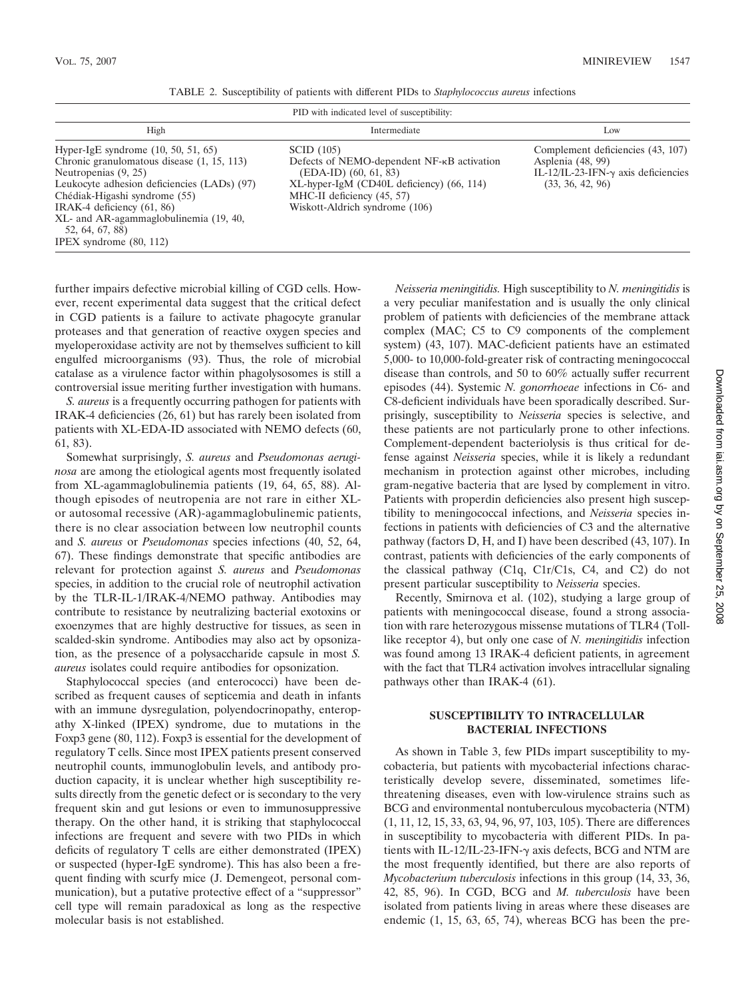TABLE 2. Susceptibility of patients with different PIDs to *Staphylococcus aureus* infections

| PID with indicated level of susceptibility:                                                                                                                                                                                                                                                                         |                                                                                                                                                                                                                 |                                                                                                                           |  |
|---------------------------------------------------------------------------------------------------------------------------------------------------------------------------------------------------------------------------------------------------------------------------------------------------------------------|-----------------------------------------------------------------------------------------------------------------------------------------------------------------------------------------------------------------|---------------------------------------------------------------------------------------------------------------------------|--|
| High                                                                                                                                                                                                                                                                                                                | Intermediate                                                                                                                                                                                                    | Low                                                                                                                       |  |
| Hyper-IgE syndrome $(10, 50, 51, 65)$<br>Chronic granulomatous disease (1, 15, 113)<br>Neutropenias (9, 25)<br>Leukocyte adhesion deficiencies (LADs) (97)<br>Chédiak-Higashi syndrome (55)<br>IRAK-4 deficiency (61, 86)<br>XL- and AR-agammaglobulinemia (19, 40,<br>52, 64, 67, 88)<br>IPEX syndrome $(80, 112)$ | SCID (105)<br>Defects of NEMO-dependent NF- <sub>K</sub> B activation<br>$(EDA-ID)$ $(60, 61, 83)$<br>XL-hyper-IgM (CD40L deficiency) (66, 114)<br>MHC-II deficiency (45, 57)<br>Wiskott-Aldrich syndrome (106) | Complement deficiencies (43, 107)<br>Asplenia (48, 99)<br>IL-12/IL-23-IFN- $\gamma$ axis deficiencies<br>(33, 36, 42, 96) |  |

further impairs defective microbial killing of CGD cells. However, recent experimental data suggest that the critical defect in CGD patients is a failure to activate phagocyte granular proteases and that generation of reactive oxygen species and myeloperoxidase activity are not by themselves sufficient to kill engulfed microorganisms (93). Thus, the role of microbial catalase as a virulence factor within phagolysosomes is still a controversial issue meriting further investigation with humans.

*S. aureus* is a frequently occurring pathogen for patients with IRAK-4 deficiencies (26, 61) but has rarely been isolated from patients with XL-EDA-ID associated with NEMO defects (60, 61, 83).

Somewhat surprisingly, *S. aureus* and *Pseudomonas aeruginosa* are among the etiological agents most frequently isolated from XL-agammaglobulinemia patients (19, 64, 65, 88). Although episodes of neutropenia are not rare in either XLor autosomal recessive (AR)-agammaglobulinemic patients, there is no clear association between low neutrophil counts and *S. aureus* or *Pseudomonas* species infections (40, 52, 64, 67). These findings demonstrate that specific antibodies are relevant for protection against *S. aureus* and *Pseudomonas* species, in addition to the crucial role of neutrophil activation by the TLR-IL-1/IRAK-4/NEMO pathway. Antibodies may contribute to resistance by neutralizing bacterial exotoxins or exoenzymes that are highly destructive for tissues, as seen in scalded-skin syndrome. Antibodies may also act by opsonization, as the presence of a polysaccharide capsule in most *S. aureus* isolates could require antibodies for opsonization.

Staphylococcal species (and enterococci) have been described as frequent causes of septicemia and death in infants with an immune dysregulation, polyendocrinopathy, enteropathy X-linked (IPEX) syndrome, due to mutations in the Foxp3 gene (80, 112). Foxp3 is essential for the development of regulatory T cells. Since most IPEX patients present conserved neutrophil counts, immunoglobulin levels, and antibody production capacity, it is unclear whether high susceptibility results directly from the genetic defect or is secondary to the very frequent skin and gut lesions or even to immunosuppressive therapy. On the other hand, it is striking that staphylococcal infections are frequent and severe with two PIDs in which deficits of regulatory T cells are either demonstrated (IPEX) or suspected (hyper-IgE syndrome). This has also been a frequent finding with scurfy mice (J. Demengeot, personal communication), but a putative protective effect of a "suppressor" cell type will remain paradoxical as long as the respective molecular basis is not established.

*Neisseria meningitidis.* High susceptibility to *N. meningitidis* is a very peculiar manifestation and is usually the only clinical problem of patients with deficiencies of the membrane attack complex (MAC; C5 to C9 components of the complement system) (43, 107). MAC-deficient patients have an estimated 5,000- to 10,000-fold-greater risk of contracting meningococcal disease than controls, and 50 to 60% actually suffer recurrent episodes (44). Systemic *N. gonorrhoeae* infections in C6- and C8-deficient individuals have been sporadically described. Surprisingly, susceptibility to *Neisseria* species is selective, and these patients are not particularly prone to other infections. Complement-dependent bacteriolysis is thus critical for defense against *Neisseria* species, while it is likely a redundant mechanism in protection against other microbes, including gram-negative bacteria that are lysed by complement in vitro. Patients with properdin deficiencies also present high susceptibility to meningococcal infections, and *Neisseria* species infections in patients with deficiencies of C3 and the alternative pathway (factors D, H, and I) have been described (43, 107). In contrast, patients with deficiencies of the early components of the classical pathway (C1q, C1r/C1s, C4, and C2) do not present particular susceptibility to *Neisseria* species.

Recently, Smirnova et al. (102), studying a large group of patients with meningococcal disease, found a strong association with rare heterozygous missense mutations of TLR4 (Tolllike receptor 4), but only one case of *N. meningitidis* infection was found among 13 IRAK-4 deficient patients, in agreement with the fact that TLR4 activation involves intracellular signaling pathways other than IRAK-4 (61).

## **SUSCEPTIBILITY TO INTRACELLULAR BACTERIAL INFECTIONS**

As shown in Table 3, few PIDs impart susceptibility to mycobacteria, but patients with mycobacterial infections characteristically develop severe, disseminated, sometimes lifethreatening diseases, even with low-virulence strains such as BCG and environmental nontuberculous mycobacteria (NTM) (1, 11, 12, 15, 33, 63, 94, 96, 97, 103, 105). There are differences in susceptibility to mycobacteria with different PIDs. In patients with IL-12/IL-23-IFN- $\gamma$  axis defects, BCG and NTM are the most frequently identified, but there are also reports of *Mycobacterium tuberculosis* infections in this group (14, 33, 36, 42, 85, 96). In CGD, BCG and *M. tuberculosis* have been isolated from patients living in areas where these diseases are endemic (1, 15, 63, 65, 74), whereas BCG has been the pre-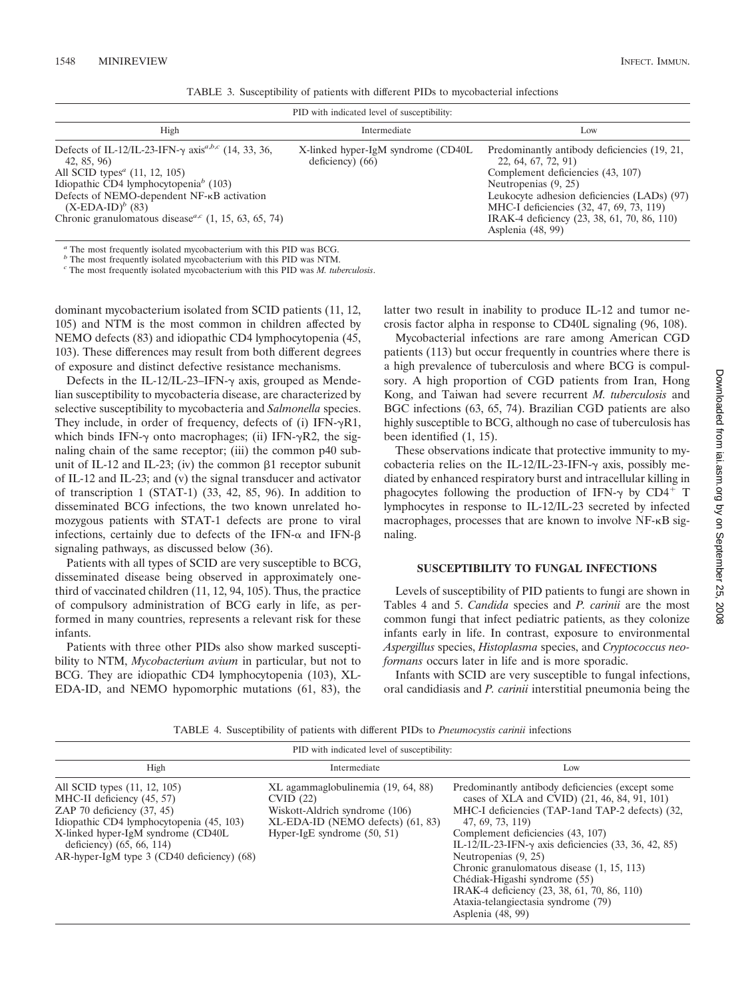TABLE 3. Susceptibility of patients with different PIDs to mycobacterial infections

| PID with indicated level of susceptibility:                                                                                                                                                                                                                                                                                                                                |                                                          |                                                                                                                                                                                                                                                                                                 |  |
|----------------------------------------------------------------------------------------------------------------------------------------------------------------------------------------------------------------------------------------------------------------------------------------------------------------------------------------------------------------------------|----------------------------------------------------------|-------------------------------------------------------------------------------------------------------------------------------------------------------------------------------------------------------------------------------------------------------------------------------------------------|--|
| High                                                                                                                                                                                                                                                                                                                                                                       | Intermediate                                             | Low                                                                                                                                                                                                                                                                                             |  |
| Defects of IL-12/IL-23-IFN- $\gamma$ axis <sup><i>a,b,c</i></sup> (14, 33, 36,<br>42, 85, 96<br>All SCID types <sup><math>a</math></sup> (11, 12, 105)<br>Idiopathic CD4 lymphocytopenia <sup>b</sup> (103)<br>Defects of NEMO-dependent NF- <sub>K</sub> B activation<br>$(X-EDA-ID)^{b}$ (83)<br>Chronic granulomatous disease <sup><i>a,c</i></sup> (1, 15, 63, 65, 74) | X-linked hyper-IgM syndrome (CD40L)<br>deficiency $(66)$ | Predominantly antibody deficiencies (19, 21,<br>22, 64, 67, 72, 91)<br>Complement deficiencies (43, 107)<br>Neutropenias (9, 25)<br>Leukocyte adhesion deficiencies (LADs) (97)<br>MHC-I deficiencies (32, 47, 69, 73, 119)<br>IRAK-4 deficiency (23, 38, 61, 70, 86, 110)<br>Asplenia (48, 99) |  |

*<sup>a</sup>* The most frequently isolated mycobacterium with this PID was BCG.

*<sup>b</sup>* The most frequently isolated mycobacterium with this PID was NTM.

*<sup>c</sup>* The most frequently isolated mycobacterium with this PID was *M. tuberculosis*.

dominant mycobacterium isolated from SCID patients (11, 12, 105) and NTM is the most common in children affected by NEMO defects (83) and idiopathic CD4 lymphocytopenia (45, 103). These differences may result from both different degrees of exposure and distinct defective resistance mechanisms.

Defects in the IL-12/IL-23–IFN- $\gamma$  axis, grouped as Mendelian susceptibility to mycobacteria disease, are characterized by selective susceptibility to mycobacteria and *Salmonella* species. They include, in order of frequency, defects of (i)  $IFN-\gamma R1$ , which binds IFN- $\gamma$  onto macrophages; (ii) IFN- $\gamma$ R2, the signaling chain of the same receptor; (iii) the common p40 subunit of IL-12 and IL-23; (iv) the common  $\beta$ 1 receptor subunit of IL-12 and IL-23; and (v) the signal transducer and activator of transcription 1 (STAT-1) (33, 42, 85, 96). In addition to disseminated BCG infections, the two known unrelated homozygous patients with STAT-1 defects are prone to viral infections, certainly due to defects of the IFN- $\alpha$  and IFN- $\beta$ signaling pathways, as discussed below (36).

Patients with all types of SCID are very susceptible to BCG, disseminated disease being observed in approximately onethird of vaccinated children (11, 12, 94, 105). Thus, the practice of compulsory administration of BCG early in life, as performed in many countries, represents a relevant risk for these infants.

Patients with three other PIDs also show marked susceptibility to NTM, *Mycobacterium avium* in particular, but not to BCG. They are idiopathic CD4 lymphocytopenia (103), XL-EDA-ID, and NEMO hypomorphic mutations (61, 83), the latter two result in inability to produce IL-12 and tumor necrosis factor alpha in response to CD40L signaling (96, 108).

Mycobacterial infections are rare among American CGD patients (113) but occur frequently in countries where there is a high prevalence of tuberculosis and where BCG is compulsory. A high proportion of CGD patients from Iran, Hong Kong, and Taiwan had severe recurrent *M. tuberculosis* and BGC infections (63, 65, 74). Brazilian CGD patients are also highly susceptible to BCG, although no case of tuberculosis has been identified (1, 15).

These observations indicate that protective immunity to mycobacteria relies on the IL-12/IL-23-IFN- $\gamma$  axis, possibly mediated by enhanced respiratory burst and intracellular killing in phagocytes following the production of IFN- $\gamma$  by CD4<sup>+</sup> T lymphocytes in response to IL-12/IL-23 secreted by infected macrophages, processes that are known to involve NF- $\kappa$ B signaling.

## **SUSCEPTIBILITY TO FUNGAL INFECTIONS**

Levels of susceptibility of PID patients to fungi are shown in Tables 4 and 5. *Candida* species and *P. carinii* are the most common fungi that infect pediatric patients, as they colonize infants early in life. In contrast, exposure to environmental *Aspergillus* species, *Histoplasma* species, and *Cryptococcus neoformans* occurs later in life and is more sporadic.

Infants with SCID are very susceptible to fungal infections, oral candidiasis and *P. carinii* interstitial pneumonia being the

TABLE 4. Susceptibility of patients with different PIDs to *Pneumocystis carinii* infections

| PID with indicated level of susceptibility:                                                                                                                                                                                                             |                                                                                                                                                        |                                                                                                                                                                                                                                                                                                                                                                                                                                                                                                  |  |
|---------------------------------------------------------------------------------------------------------------------------------------------------------------------------------------------------------------------------------------------------------|--------------------------------------------------------------------------------------------------------------------------------------------------------|--------------------------------------------------------------------------------------------------------------------------------------------------------------------------------------------------------------------------------------------------------------------------------------------------------------------------------------------------------------------------------------------------------------------------------------------------------------------------------------------------|--|
| High                                                                                                                                                                                                                                                    | Intermediate                                                                                                                                           | Low                                                                                                                                                                                                                                                                                                                                                                                                                                                                                              |  |
| All SCID types (11, 12, 105)<br>MHC-II deficiency (45, 57)<br>ZAP 70 deficiency $(37, 45)$<br>Idiopathic CD4 lymphocytopenia (45, 103)<br>X-linked hyper-IgM syndrome (CD40L<br>deficiency) (65, 66, 114)<br>AR-hyper-IgM type 3 (CD40 deficiency) (68) | XL agammaglobulinemia (19, 64, 88)<br>CVID(22)<br>Wiskott-Aldrich syndrome (106)<br>XL-EDA-ID (NEMO defects) (61, 83)<br>Hyper-IgE syndrome $(50, 51)$ | Predominantly antibody deficiencies (except some)<br>cases of XLA and CVID) (21, 46, 84, 91, 101)<br>MHC-I deficiencies (TAP-1and TAP-2 defects) (32,<br>47, 69, 73, 119)<br>Complement deficiencies (43, 107)<br>IL-12/IL-23-IFN- $\gamma$ axis deficiencies (33, 36, 42, 85)<br>Neutropenias (9, 25)<br>Chronic granulomatous disease (1, 15, 113)<br>Chédiak-Higashi syndrome (55)<br>IRAK-4 deficiency (23, 38, 61, 70, 86, 110)<br>Ataxia-telangiectasia syndrome (79)<br>Asplenia (48, 99) |  |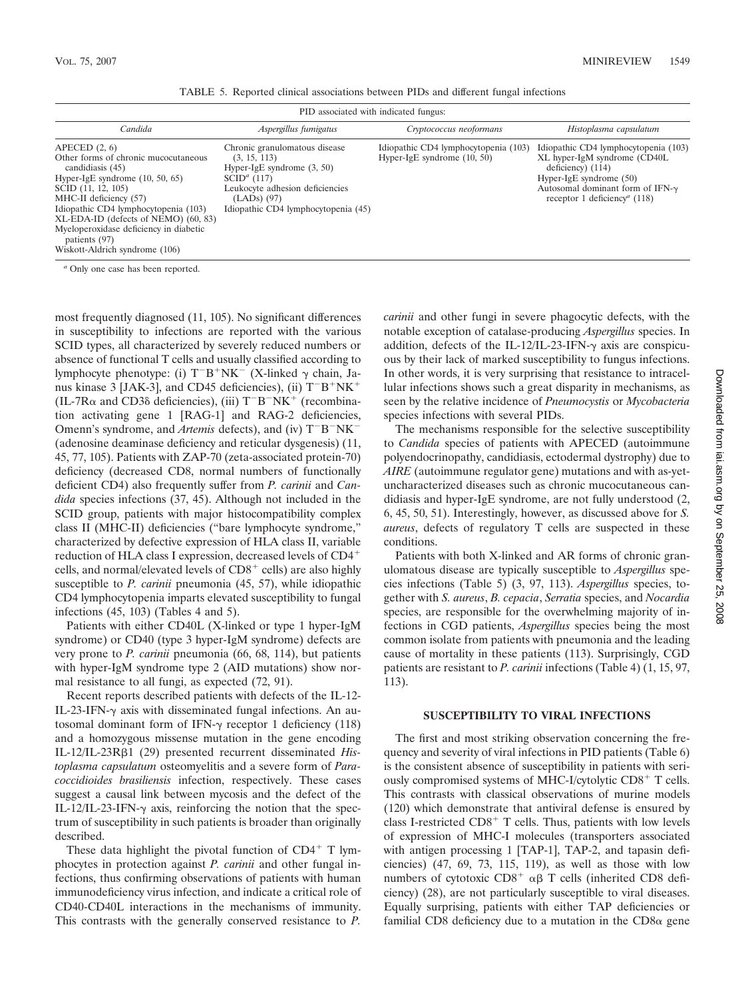TABLE 5. Reported clinical associations between PIDs and different fungal infections

| PID associated with indicated fungus:                                                                                                                                                                                                                                                                                                      |                                                                                                                                                                                           |                                                                       |                                                                                                                                                                                                                       |
|--------------------------------------------------------------------------------------------------------------------------------------------------------------------------------------------------------------------------------------------------------------------------------------------------------------------------------------------|-------------------------------------------------------------------------------------------------------------------------------------------------------------------------------------------|-----------------------------------------------------------------------|-----------------------------------------------------------------------------------------------------------------------------------------------------------------------------------------------------------------------|
| Candida                                                                                                                                                                                                                                                                                                                                    | Aspergillus fumigatus                                                                                                                                                                     | Cryptococcus neoformans                                               | Histoplasma capsulatum                                                                                                                                                                                                |
| APECED(2, 6)<br>Other forms of chronic mucocutaneous<br>candidiasis (45)<br>Hyper-IgE syndrome $(10, 50, 65)$<br>SCID (11, 12, 105)<br>MHC-II deficiency (57)<br>Idiopathic CD4 lymphocytopenia (103)<br>XL-EDA-ID (defects of NEMO) (60, 83)<br>Myeloperoxidase deficiency in diabetic<br>patients (97)<br>Wiskott-Aldrich syndrome (106) | Chronic granulomatous disease<br>(3, 15, 113)<br>Hyper-IgE syndrome $(3, 50)$<br>$SCIDa$ (117)<br>Leukocyte adhesion deficiencies<br>$(LADs)$ (97)<br>Idiopathic CD4 lymphocytopenia (45) | Idiopathic CD4 lymphocytopenia (103)<br>Hyper-IgE syndrome $(10, 50)$ | Idiopathic CD4 lymphocytopenia (103)<br>XL hyper-IgM syndrome (CD40L<br>deficiency) (114)<br>Hyper-IgE syndrome $(50)$<br>Autosomal dominant form of IFN- $\gamma$<br>receptor 1 deficiency <sup><i>a</i></sup> (118) |

*<sup>a</sup>* Only one case has been reported.

most frequently diagnosed (11, 105). No significant differences in susceptibility to infections are reported with the various SCID types, all characterized by severely reduced numbers or absence of functional T cells and usually classified according to lymphocyte phenotype: (i)  $T^{-}B^{+}NK^{-}$  (X-linked  $\gamma$  chain, Janus kinase 3 [JAK-3], and CD45 deficiencies), (ii)  $T^-B^+NK^+$ (IL-7R $\alpha$  and CD3 $\delta$  deficiencies), (iii) T<sup>-</sup>B<sup>-</sup>NK<sup>+</sup> (recombination activating gene 1 [RAG-1] and RAG-2 deficiencies, Omenn's syndrome, and *Artemis* defects), and (iv)  $T<sup>-</sup>B<sup>-</sup>NK<sup>-</sup>$ (adenosine deaminase deficiency and reticular dysgenesis) (11, 45, 77, 105). Patients with ZAP-70 (zeta-associated protein-70) deficiency (decreased CD8, normal numbers of functionally deficient CD4) also frequently suffer from *P. carinii* and *Candida* species infections (37, 45). Although not included in the SCID group, patients with major histocompatibility complex class II (MHC-II) deficiencies ("bare lymphocyte syndrome," characterized by defective expression of HLA class II, variable reduction of HLA class I expression, decreased levels of CD4 cells, and normal/elevated levels of  $CD8<sup>+</sup>$  cells) are also highly susceptible to *P. carinii* pneumonia (45, 57), while idiopathic CD4 lymphocytopenia imparts elevated susceptibility to fungal infections (45, 103) (Tables 4 and 5).

Patients with either CD40L (X-linked or type 1 hyper-IgM syndrome) or CD40 (type 3 hyper-IgM syndrome) defects are very prone to *P. carinii* pneumonia (66, 68, 114), but patients with hyper-IgM syndrome type 2 (AID mutations) show normal resistance to all fungi, as expected (72, 91).

Recent reports described patients with defects of the IL-12- IL-23-IFN- $\gamma$  axis with disseminated fungal infections. An autosomal dominant form of IFN- $\gamma$  receptor 1 deficiency (118) and a homozygous missense mutation in the gene encoding IL-12/IL-23R1 (29) presented recurrent disseminated *Histoplasma capsulatum* osteomyelitis and a severe form of *Paracoccidioides brasiliensis* infection, respectively. These cases suggest a causal link between mycosis and the defect of the IL-12/IL-23-IFN- $\gamma$  axis, reinforcing the notion that the spectrum of susceptibility in such patients is broader than originally described.

These data highlight the pivotal function of  $CD4^+$  T lymphocytes in protection against *P. carinii* and other fungal infections, thus confirming observations of patients with human immunodeficiency virus infection, and indicate a critical role of CD40-CD40L interactions in the mechanisms of immunity. This contrasts with the generally conserved resistance to *P.*

*carinii* and other fungi in severe phagocytic defects, with the notable exception of catalase-producing *Aspergillus* species. In addition, defects of the IL-12/IL-23-IFN- $\gamma$  axis are conspicuous by their lack of marked susceptibility to fungus infections. In other words, it is very surprising that resistance to intracellular infections shows such a great disparity in mechanisms, as seen by the relative incidence of *Pneumocystis* or *Mycobacteria* species infections with several PIDs.

The mechanisms responsible for the selective susceptibility to *Candida* species of patients with APECED (autoimmune polyendocrinopathy, candidiasis, ectodermal dystrophy) due to *AIRE* (autoimmune regulator gene) mutations and with as-yetuncharacterized diseases such as chronic mucocutaneous candidiasis and hyper-IgE syndrome, are not fully understood (2, 6, 45, 50, 51). Interestingly, however, as discussed above for *S. aureus*, defects of regulatory T cells are suspected in these conditions.

Patients with both X-linked and AR forms of chronic granulomatous disease are typically susceptible to *Aspergillus* species infections (Table 5) (3, 97, 113). *Aspergillus* species, together with *S. aureus*, *B. cepacia*, *Serratia* species, and *Nocardia* species, are responsible for the overwhelming majority of infections in CGD patients, *Aspergillus* species being the most common isolate from patients with pneumonia and the leading cause of mortality in these patients (113). Surprisingly, CGD patients are resistant to *P. carinii* infections (Table 4) (1, 15, 97, 113).

#### **SUSCEPTIBILITY TO VIRAL INFECTIONS**

The first and most striking observation concerning the frequency and severity of viral infections in PID patients (Table 6) is the consistent absence of susceptibility in patients with seriously compromised systems of MHC-I/cytolytic CD8<sup>+</sup> T cells. This contrasts with classical observations of murine models (120) which demonstrate that antiviral defense is ensured by class I-restricted  $CD8<sup>+</sup>$  T cells. Thus, patients with low levels of expression of MHC-I molecules (transporters associated with antigen processing 1 [TAP-1], TAP-2, and tapasin deficiencies) (47, 69, 73, 115, 119), as well as those with low numbers of cytotoxic  $CD8^+$   $\alpha\beta$  T cells (inherited CD8 deficiency) (28), are not particularly susceptible to viral diseases. Equally surprising, patients with either TAP deficiencies or familial CD8 deficiency due to a mutation in the  $CD8\alpha$  gene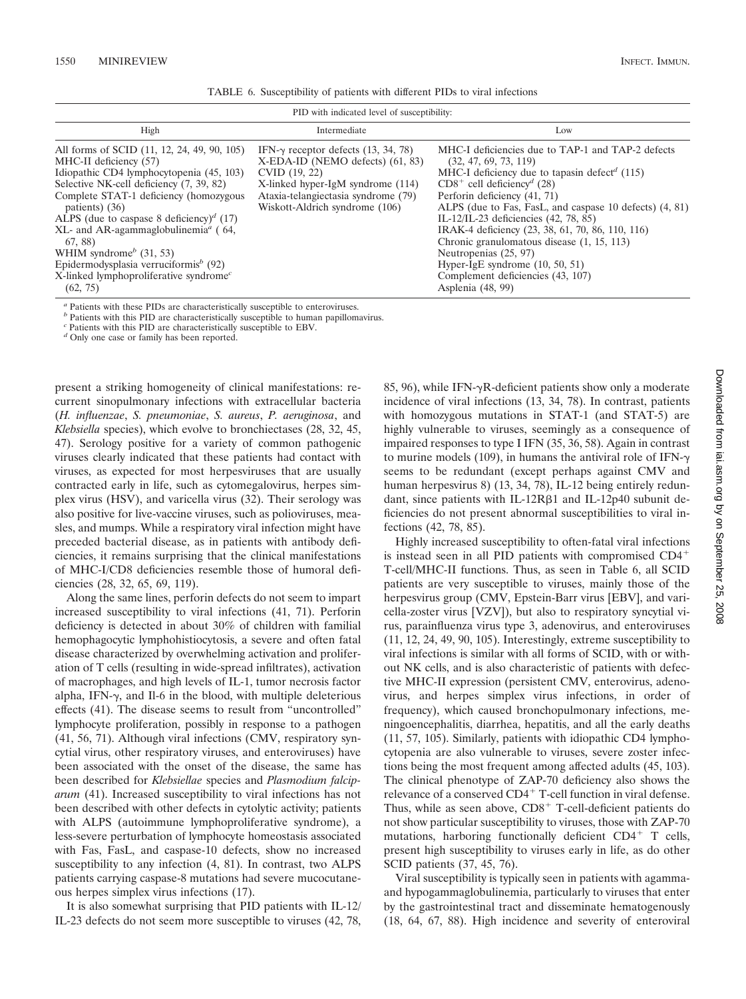TABLE 6. Susceptibility of patients with different PIDs to viral infections

| PID with indicated level of susceptibility:                                                                                                                                                                                                                                                                                                                                                                                                                                                                                                   |                                                                                                                                                                                                                |                                                                                                                                                                                                                                                                                                                                                                                                                                                                                                                                                     |  |
|-----------------------------------------------------------------------------------------------------------------------------------------------------------------------------------------------------------------------------------------------------------------------------------------------------------------------------------------------------------------------------------------------------------------------------------------------------------------------------------------------------------------------------------------------|----------------------------------------------------------------------------------------------------------------------------------------------------------------------------------------------------------------|-----------------------------------------------------------------------------------------------------------------------------------------------------------------------------------------------------------------------------------------------------------------------------------------------------------------------------------------------------------------------------------------------------------------------------------------------------------------------------------------------------------------------------------------------------|--|
| High                                                                                                                                                                                                                                                                                                                                                                                                                                                                                                                                          | Intermediate                                                                                                                                                                                                   | Low                                                                                                                                                                                                                                                                                                                                                                                                                                                                                                                                                 |  |
| All forms of SCID (11, 12, 24, 49, 90, 105)<br>MHC-II deficiency (57)<br>Idiopathic CD4 lymphocytopenia (45, 103)<br>Selective NK-cell deficiency (7, 39, 82)<br>Complete STAT-1 deficiency (homozygous<br>patients) $(36)$<br>ALPS (due to caspase 8 deficiency) <sup>d</sup> (17)<br>$XL$ - and AR-agammaglobulinemia <sup><math>a</math></sup> (64,<br>67, 88<br>WHIM syndrome <sup>b</sup> $(31, 53)$<br>Epidermodysplasia verruciformis <sup>b</sup> (92)<br>X-linked lymphoproliferative syndrome <sup><math>c</math></sup><br>(62, 75) | IFN- $\gamma$ receptor defects (13, 34, 78)<br>X-EDA-ID (NEMO defects) (61, 83)<br>CVID (19, 22)<br>X-linked hyper-IgM syndrome (114)<br>Ataxia-telangiectasia syndrome (79)<br>Wiskott-Aldrich syndrome (106) | MHC-I deficiencies due to TAP-1 and TAP-2 defects<br>(32, 47, 69, 73, 119)<br>MHC-I deficiency due to tapasin defect <sup>d</sup> (115)<br>$CD8+$ cell deficiency <sup>d</sup> (28)<br>Perforin deficiency (41, 71)<br>ALPS (due to Fas, FasL, and caspase 10 defects) (4, 81)<br>IL-12/IL-23 deficiencies $(42, 78, 85)$<br>IRAK-4 deficiency (23, 38, 61, 70, 86, 110, 116)<br>Chronic granulomatous disease (1, 15, 113)<br>Neutropenias (25, 97)<br>Hyper-IgE syndrome $(10, 50, 51)$<br>Complement deficiencies (43, 107)<br>Asplenia (48, 99) |  |

*<sup>a</sup>* Patients with these PIDs are characteristically susceptible to enteroviruses.

*b* Patients with this PID are characteristically susceptible to human papillomavirus.

*<sup>c</sup>* Patients with this PID are characteristically susceptible to EBV.

*<sup>d</sup>* Only one case or family has been reported.

present a striking homogeneity of clinical manifestations: recurrent sinopulmonary infections with extracellular bacteria (*H. influenzae*, *S. pneumoniae*, *S. aureus*, *P. aeruginosa*, and *Klebsiella* species), which evolve to bronchiectases (28, 32, 45, 47). Serology positive for a variety of common pathogenic viruses clearly indicated that these patients had contact with viruses, as expected for most herpesviruses that are usually contracted early in life, such as cytomegalovirus, herpes simplex virus (HSV), and varicella virus (32). Their serology was also positive for live-vaccine viruses, such as polioviruses, measles, and mumps. While a respiratory viral infection might have preceded bacterial disease, as in patients with antibody deficiencies, it remains surprising that the clinical manifestations of MHC-I/CD8 deficiencies resemble those of humoral deficiencies (28, 32, 65, 69, 119).

Along the same lines, perforin defects do not seem to impart increased susceptibility to viral infections (41, 71). Perforin deficiency is detected in about 30% of children with familial hemophagocytic lymphohistiocytosis, a severe and often fatal disease characterized by overwhelming activation and proliferation of T cells (resulting in wide-spread infiltrates), activation of macrophages, and high levels of IL-1, tumor necrosis factor alpha, IFN- $\gamma$ , and Il-6 in the blood, with multiple deleterious effects (41). The disease seems to result from "uncontrolled" lymphocyte proliferation, possibly in response to a pathogen (41, 56, 71). Although viral infections (CMV, respiratory syncytial virus, other respiratory viruses, and enteroviruses) have been associated with the onset of the disease, the same has been described for *Klebsiellae* species and *Plasmodium falciparum* (41). Increased susceptibility to viral infections has not been described with other defects in cytolytic activity; patients with ALPS (autoimmune lymphoproliferative syndrome), a less-severe perturbation of lymphocyte homeostasis associated with Fas, FasL, and caspase-10 defects, show no increased susceptibility to any infection (4, 81). In contrast, two ALPS patients carrying caspase-8 mutations had severe mucocutaneous herpes simplex virus infections (17).

It is also somewhat surprising that PID patients with IL-12/ IL-23 defects do not seem more susceptible to viruses (42, 78,

85, 96), while IFN- $\gamma$ R-deficient patients show only a moderate incidence of viral infections (13, 34, 78). In contrast, patients with homozygous mutations in STAT-1 (and STAT-5) are highly vulnerable to viruses, seemingly as a consequence of impaired responses to type I IFN (35, 36, 58). Again in contrast to murine models (109), in humans the antiviral role of IFN- $\gamma$ seems to be redundant (except perhaps against CMV and human herpesvirus 8) (13, 34, 78), IL-12 being entirely redundant, since patients with IL-12Rß1 and IL-12p40 subunit deficiencies do not present abnormal susceptibilities to viral infections (42, 78, 85).

Highly increased susceptibility to often-fatal viral infections is instead seen in all PID patients with compromised CD4 T-cell/MHC-II functions. Thus, as seen in Table 6, all SCID patients are very susceptible to viruses, mainly those of the herpesvirus group (CMV, Epstein-Barr virus [EBV], and varicella-zoster virus [VZV]), but also to respiratory syncytial virus, parainfluenza virus type 3, adenovirus, and enteroviruses (11, 12, 24, 49, 90, 105). Interestingly, extreme susceptibility to viral infections is similar with all forms of SCID, with or without NK cells, and is also characteristic of patients with defective MHC-II expression (persistent CMV, enterovirus, adenovirus, and herpes simplex virus infections, in order of frequency), which caused bronchopulmonary infections, meningoencephalitis, diarrhea, hepatitis, and all the early deaths (11, 57, 105). Similarly, patients with idiopathic CD4 lymphocytopenia are also vulnerable to viruses, severe zoster infections being the most frequent among affected adults (45, 103). The clinical phenotype of ZAP-70 deficiency also shows the relevance of a conserved CD4<sup>+</sup> T-cell function in viral defense. Thus, while as seen above,  $CD8<sup>+</sup>$  T-cell-deficient patients do not show particular susceptibility to viruses, those with ZAP-70 mutations, harboring functionally deficient  $CD4^+$  T cells, present high susceptibility to viruses early in life, as do other SCID patients (37, 45, 76).

Viral susceptibility is typically seen in patients with agammaand hypogammaglobulinemia, particularly to viruses that enter by the gastrointestinal tract and disseminate hematogenously (18, 64, 67, 88). High incidence and severity of enteroviral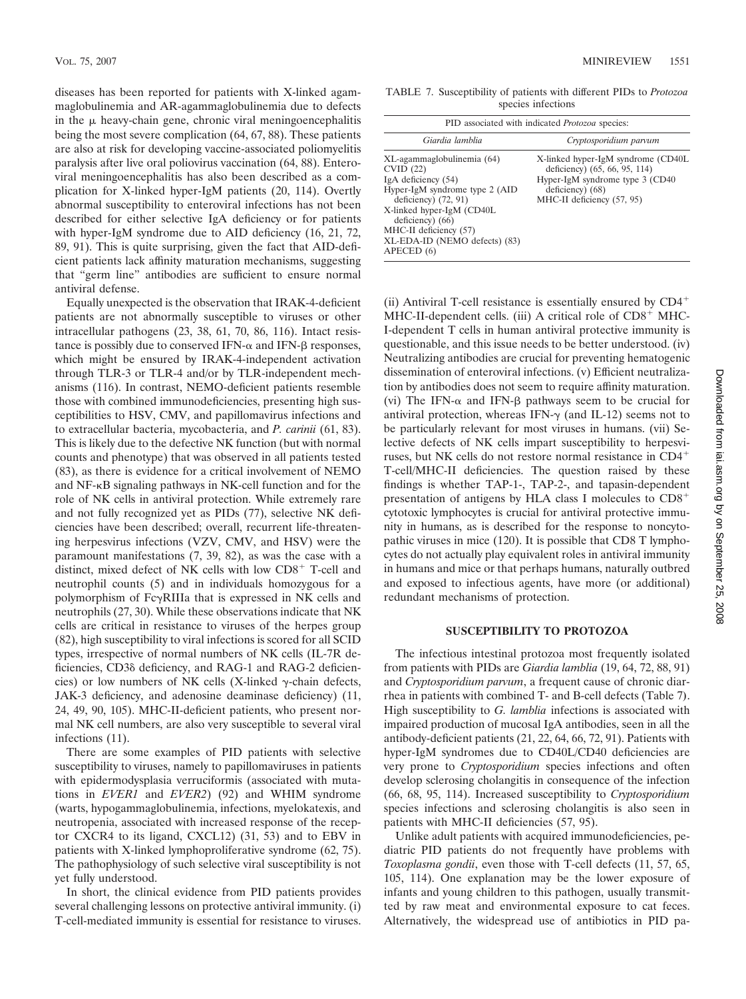diseases has been reported for patients with X-linked agammaglobulinemia and AR-agammaglobulinemia due to defects in the  $\mu$  heavy-chain gene, chronic viral meningoencephalitis being the most severe complication (64, 67, 88). These patients are also at risk for developing vaccine-associated poliomyelitis paralysis after live oral poliovirus vaccination (64, 88). Enteroviral meningoencephalitis has also been described as a complication for X-linked hyper-IgM patients (20, 114). Overtly abnormal susceptibility to enteroviral infections has not been described for either selective IgA deficiency or for patients with hyper-IgM syndrome due to AID deficiency (16, 21, 72, 89, 91). This is quite surprising, given the fact that AID-deficient patients lack affinity maturation mechanisms, suggesting that "germ line" antibodies are sufficient to ensure normal antiviral defense.

Equally unexpected is the observation that IRAK-4-deficient patients are not abnormally susceptible to viruses or other intracellular pathogens (23, 38, 61, 70, 86, 116). Intact resistance is possibly due to conserved IFN- $\alpha$  and IFN- $\beta$  responses, which might be ensured by IRAK-4-independent activation through TLR-3 or TLR-4 and/or by TLR-independent mechanisms (116). In contrast, NEMO-deficient patients resemble those with combined immunodeficiencies, presenting high susceptibilities to HSV, CMV, and papillomavirus infections and to extracellular bacteria, mycobacteria, and *P. carinii* (61, 83). This is likely due to the defective NK function (but with normal counts and phenotype) that was observed in all patients tested (83), as there is evidence for a critical involvement of NEMO and NF- $\kappa$ B signaling pathways in NK-cell function and for the role of NK cells in antiviral protection. While extremely rare and not fully recognized yet as PIDs (77), selective NK deficiencies have been described; overall, recurrent life-threatening herpesvirus infections (VZV, CMV, and HSV) were the paramount manifestations (7, 39, 82), as was the case with a distinct, mixed defect of NK cells with low  $CD8<sup>+</sup>$  T-cell and neutrophil counts (5) and in individuals homozygous for a polymorphism of FcyRIIIa that is expressed in NK cells and neutrophils (27, 30). While these observations indicate that NK cells are critical in resistance to viruses of the herpes group (82), high susceptibility to viral infections is scored for all SCID types, irrespective of normal numbers of NK cells (IL-7R deficiencies, CD38 deficiency, and RAG-1 and RAG-2 deficiencies) or low numbers of NK cells (X-linked  $\gamma$ -chain defects, JAK-3 deficiency, and adenosine deaminase deficiency) (11, 24, 49, 90, 105). MHC-II-deficient patients, who present normal NK cell numbers, are also very susceptible to several viral infections (11).

There are some examples of PID patients with selective susceptibility to viruses, namely to papillomaviruses in patients with epidermodysplasia verruciformis (associated with mutations in *EVER1* and *EVER2*) (92) and WHIM syndrome (warts, hypogammaglobulinemia, infections, myelokatexis, and neutropenia, associated with increased response of the receptor CXCR4 to its ligand, CXCL12) (31, 53) and to EBV in patients with X-linked lymphoproliferative syndrome (62, 75). The pathophysiology of such selective viral susceptibility is not yet fully understood.

In short, the clinical evidence from PID patients provides several challenging lessons on protective antiviral immunity. (i) T-cell-mediated immunity is essential for resistance to viruses.

TABLE 7. Susceptibility of patients with different PIDs to *Protozoa* species infections

| PID associated with indicated <i>Protozoa</i> species:                          |                                                                                    |  |  |
|---------------------------------------------------------------------------------|------------------------------------------------------------------------------------|--|--|
| Giardia lamblia                                                                 | Cryptosporidium parvum                                                             |  |  |
| XL-agammaglobulinemia (64)<br>CVID(22)                                          | X-linked hyper-IgM syndrome (CD40L)<br>deficiency) (65, 66, 95, 114)               |  |  |
| IgA deficiency (54)<br>Hyper-IgM syndrome type 2 (AID<br>deficiency) $(72, 91)$ | Hyper-IgM syndrome type 3 (CD40)<br>deficiency) (68)<br>MHC-II deficiency (57, 95) |  |  |
| X-linked hyper-IgM (CD40L<br>deficiency) (66)                                   |                                                                                    |  |  |
| MHC-II deficiency (57)                                                          |                                                                                    |  |  |
| XL-EDA-ID (NEMO defects) (83)<br>APECED(6)                                      |                                                                                    |  |  |

(ii) Antiviral T-cell resistance is essentially ensured by CD4 MHC-II-dependent cells. (iii) A critical role of  $CD8<sup>+</sup>$  MHC-I-dependent T cells in human antiviral protective immunity is questionable, and this issue needs to be better understood. (iv) Neutralizing antibodies are crucial for preventing hematogenic dissemination of enteroviral infections. (v) Efficient neutralization by antibodies does not seem to require affinity maturation. (vi) The IFN- $\alpha$  and IFN- $\beta$  pathways seem to be crucial for antiviral protection, whereas IFN- $\gamma$  (and IL-12) seems not to be particularly relevant for most viruses in humans. (vii) Selective defects of NK cells impart susceptibility to herpesviruses, but NK cells do not restore normal resistance in CD4 T-cell/MHC-II deficiencies. The question raised by these findings is whether TAP-1-, TAP-2-, and tapasin-dependent presentation of antigens by HLA class I molecules to CD8 cytotoxic lymphocytes is crucial for antiviral protective immunity in humans, as is described for the response to noncytopathic viruses in mice (120). It is possible that CD8 T lymphocytes do not actually play equivalent roles in antiviral immunity in humans and mice or that perhaps humans, naturally outbred and exposed to infectious agents, have more (or additional) redundant mechanisms of protection.

#### **SUSCEPTIBILITY TO PROTOZOA**

The infectious intestinal protozoa most frequently isolated from patients with PIDs are *Giardia lamblia* (19, 64, 72, 88, 91) and *Cryptosporidium parvum*, a frequent cause of chronic diarrhea in patients with combined T- and B-cell defects (Table 7**)**. High susceptibility to *G. lamblia* infections is associated with impaired production of mucosal IgA antibodies, seen in all the antibody-deficient patients (21, 22, 64, 66, 72, 91). Patients with hyper-IgM syndromes due to CD40L/CD40 deficiencies are very prone to *Cryptosporidium* species infections and often develop sclerosing cholangitis in consequence of the infection (66, 68, 95, 114). Increased susceptibility to *Cryptosporidium* species infections and sclerosing cholangitis is also seen in patients with MHC-II deficiencies (57, 95).

Unlike adult patients with acquired immunodeficiencies, pediatric PID patients do not frequently have problems with *Toxoplasma gondii*, even those with T-cell defects (11, 57, 65, 105, 114). One explanation may be the lower exposure of infants and young children to this pathogen, usually transmitted by raw meat and environmental exposure to cat feces. Alternatively, the widespread use of antibiotics in PID pa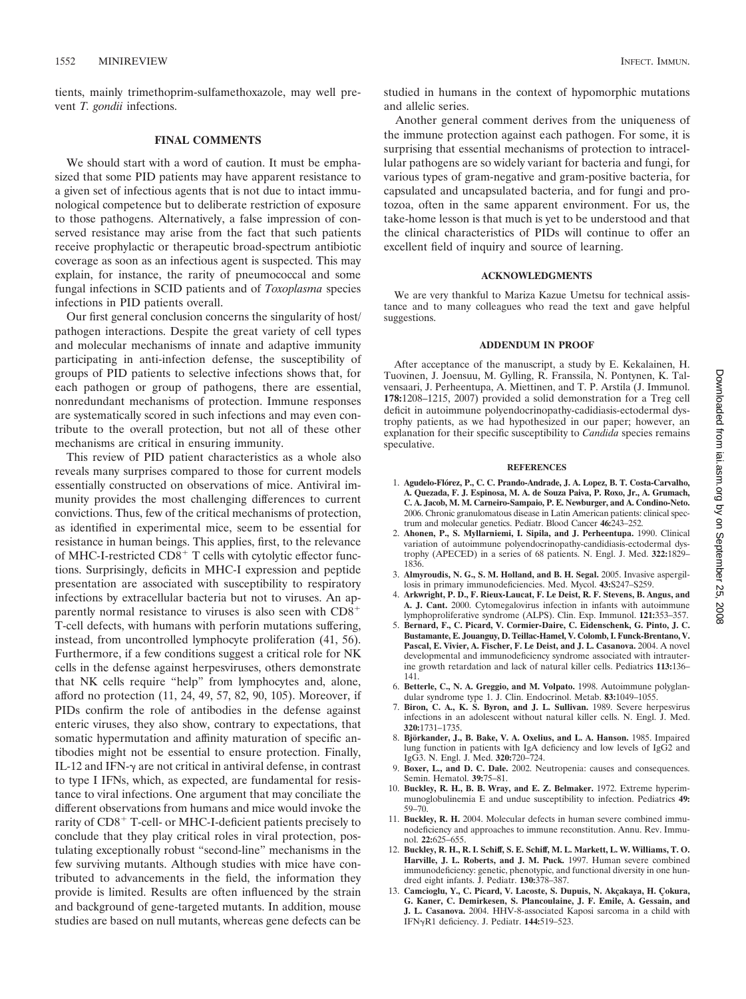tients, mainly trimethoprim-sulfamethoxazole, may well prevent *T. gondii* infections.

#### **FINAL COMMENTS**

We should start with a word of caution. It must be emphasized that some PID patients may have apparent resistance to a given set of infectious agents that is not due to intact immunological competence but to deliberate restriction of exposure to those pathogens. Alternatively, a false impression of conserved resistance may arise from the fact that such patients receive prophylactic or therapeutic broad-spectrum antibiotic coverage as soon as an infectious agent is suspected. This may explain, for instance, the rarity of pneumococcal and some fungal infections in SCID patients and of *Toxoplasma* species infections in PID patients overall.

Our first general conclusion concerns the singularity of host/ pathogen interactions. Despite the great variety of cell types and molecular mechanisms of innate and adaptive immunity participating in anti-infection defense, the susceptibility of groups of PID patients to selective infections shows that, for each pathogen or group of pathogens, there are essential, nonredundant mechanisms of protection. Immune responses are systematically scored in such infections and may even contribute to the overall protection, but not all of these other mechanisms are critical in ensuring immunity.

This review of PID patient characteristics as a whole also reveals many surprises compared to those for current models essentially constructed on observations of mice. Antiviral immunity provides the most challenging differences to current convictions. Thus, few of the critical mechanisms of protection, as identified in experimental mice, seem to be essential for resistance in human beings. This applies, first, to the relevance of MHC-I-restricted  $CD8<sup>+</sup>$  T cells with cytolytic effector functions. Surprisingly, deficits in MHC-I expression and peptide presentation are associated with susceptibility to respiratory infections by extracellular bacteria but not to viruses. An apparently normal resistance to viruses is also seen with CD8 T-cell defects, with humans with perforin mutations suffering, instead, from uncontrolled lymphocyte proliferation (41, 56). Furthermore, if a few conditions suggest a critical role for NK cells in the defense against herpesviruses, others demonstrate that NK cells require "help" from lymphocytes and, alone, afford no protection (11, 24, 49, 57, 82, 90, 105). Moreover, if PIDs confirm the role of antibodies in the defense against enteric viruses, they also show, contrary to expectations, that somatic hypermutation and affinity maturation of specific antibodies might not be essential to ensure protection. Finally, IL-12 and IFN- $\gamma$  are not critical in antiviral defense, in contrast to type I IFNs, which, as expected, are fundamental for resistance to viral infections. One argument that may conciliate the different observations from humans and mice would invoke the rarity of CD8<sup>+</sup> T-cell- or MHC-I-deficient patients precisely to conclude that they play critical roles in viral protection, postulating exceptionally robust "second-line" mechanisms in the few surviving mutants. Although studies with mice have contributed to advancements in the field, the information they provide is limited. Results are often influenced by the strain and background of gene-targeted mutants. In addition, mouse studies are based on null mutants, whereas gene defects can be

studied in humans in the context of hypomorphic mutations and allelic series.

Another general comment derives from the uniqueness of the immune protection against each pathogen. For some, it is surprising that essential mechanisms of protection to intracellular pathogens are so widely variant for bacteria and fungi, for various types of gram-negative and gram-positive bacteria, for capsulated and uncapsulated bacteria, and for fungi and protozoa, often in the same apparent environment. For us, the take-home lesson is that much is yet to be understood and that the clinical characteristics of PIDs will continue to offer an excellent field of inquiry and source of learning.

#### **ACKNOWLEDGMENTS**

We are very thankful to Mariza Kazue Umetsu for technical assistance and to many colleagues who read the text and gave helpful suggestions.

#### **ADDENDUM IN PROOF**

After acceptance of the manuscript, a study by E. Kekalainen, H. Tuovinen, J. Joensuu, M. Gylling, R. Franssila, N. Pontynen, K. Talvensaari, J. Perheentupa, A. Miettinen, and T. P. Arstila (J. Immunol. **178:**1208–1215, 2007) provided a solid demonstration for a Treg cell deficit in autoimmune polyendocrinopathy-cadidiasis-ectodermal dystrophy patients, as we had hypothesized in our paper; however, an explanation for their specific susceptibility to *Candida* species remains speculative.

#### **REFERENCES**

- 1. **Agudelo-Flo´rez, P., C. C. Prando-Andrade, J. A. Lopez, B. T. Costa-Carvalho, A. Quezada, F. J. Espinosa, M. A. de Souza Paiva, P. Roxo, Jr., A. Grumach, C. A. Jacob, M. M. Carneiro-Sampaio, P. E. Newburger, and A. Condino-Neto.** 2006. Chronic granulomatous disease in Latin American patients: clinical spectrum and molecular genetics. Pediatr. Blood Cancer **46:**243–252.
- 2. **Ahonen, P., S. Myllarniemi, I. Sipila, and J. Perheentupa.** 1990. Clinical variation of autoimmune polyendocrinopathy-candidiasis-ectodermal dystrophy (APECED) in a series of 68 patients. N. Engl. J. Med. **322:**1829– 1836.
- 3. **Almyroudis, N. G., S. M. Holland, and B. H. Segal.** 2005. Invasive aspergillosis in primary immunodeficiencies. Med. Mycol. **43:**S247–S259.
- 4. **Arkwright, P. D., F. Rieux-Laucat, F. Le Deist, R. F. Stevens, B. Angus, and A. J. Cant.** 2000. Cytomegalovirus infection in infants with autoimmune lymphoproliferative syndrome (ALPS). Clin. Exp. Immunol. **121:**353–357.
- 5. **Bernard, F., C. Picard, V. Cormier-Daire, C. Eidenschenk, G. Pinto, J. C. Bustamante, E. Jouanguy, D. Teillac-Hamel, V. Colomb, I. Funck-Brentano, V. Pascal, E. Vivier, A. Fischer, F. Le Deist, and J. L. Casanova.** 2004. A novel developmental and immunodeficiency syndrome associated with intrauterine growth retardation and lack of natural killer cells. Pediatrics **113:**136– 141.
- 6. **Betterle, C., N. A. Greggio, and M. Volpato.** 1998. Autoimmune polyglandular syndrome type 1. J. Clin. Endocrinol. Metab. **83:**1049–1055.
- 7. **Biron, C. A., K. S. Byron, and J. L. Sullivan.** 1989. Severe herpesvirus infections in an adolescent without natural killer cells. N. Engl. J. Med. **320:**1731–1735.
- 8. Björkander, J., B. Bake, V. A. Oxelius, and L. A. Hanson. 1985. Impaired lung function in patients with IgA deficiency and low levels of IgG2 and IgG3. N. Engl. J. Med. **320:**720–724.
- Boxer, L., and D. C. Dale. 2002. Neutropenia: causes and consequences. Semin. Hematol. **39:**75–81.
- 10. **Buckley, R. H., B. B. Wray, and E. Z. Belmaker.** 1972. Extreme hyperimmunoglobulinemia E and undue susceptibility to infection. Pediatrics **49:** 59–70.
- 11. **Buckley, R. H.** 2004. Molecular defects in human severe combined immunodeficiency and approaches to immune reconstitution. Annu. Rev. Immunol. **22:**625–655.
- 12. **Buckley, R. H., R. I. Schiff, S. E. Schiff, M. L. Markett, L. W. Williams, T. O. Harville, J. L. Roberts, and J. M. Puck.** 1997. Human severe combined immunodeficiency: genetic, phenotypic, and functional diversity in one hundred eight infants. J. Pediatr. **130:**378–387.
- 13. Camcioglu, Y., C. Picard, V. Lacoste, S. Dupuis, N. Akçakaya, H. Çokura, **G. Kaner, C. Demirkesen, S. Plancoulaine, J. F. Emile, A. Gessain, and J. L. Casanova.** 2004. HHV-8-associated Kaposi sarcoma in a child with IFN-R1 deficiency. J. Pediatr. **144:**519–523.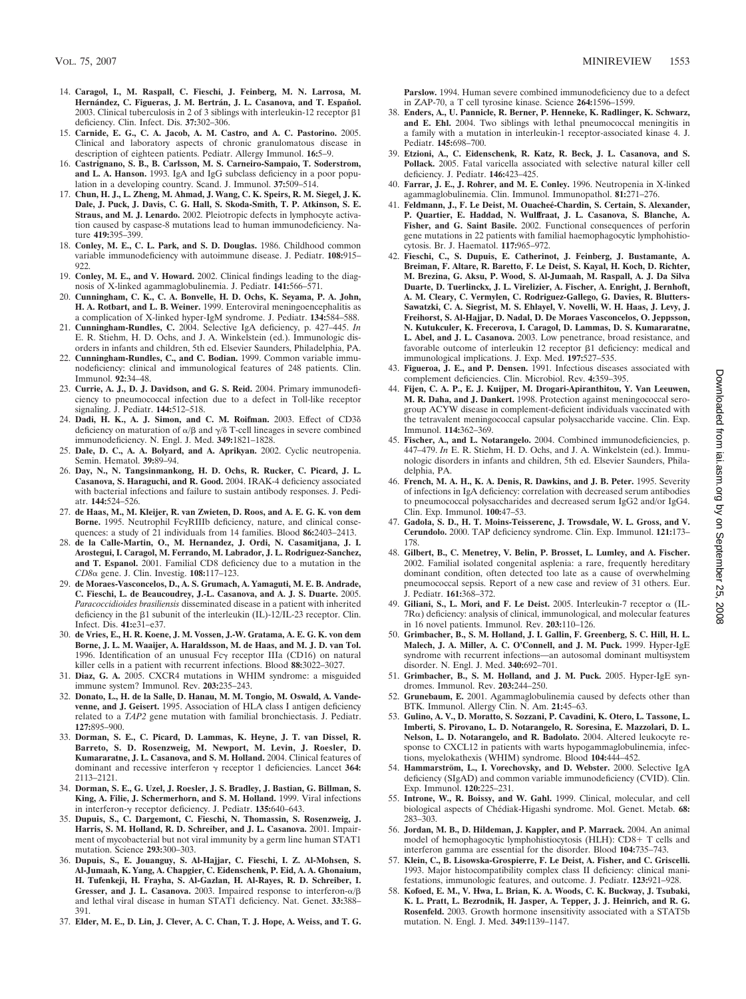- 14. **Caragol, I., M. Raspall, C. Fieschi, J. Feinberg, M. N. Larrosa, M.** Hernández, C. Figueras, J. M. Bertrán, J. L. Casanova, and T. Español. 2003. Clinical tuberculosis in 2 of 3 siblings with interleukin-12 receptor  $\beta$ 1 deficiency. Clin. Infect. Dis. **37:**302–306.
- 15. **Carnide, E. G., C. A. Jacob, A. M. Castro, and A. C. Pastorino.** 2005. Clinical and laboratory aspects of chronic granulomatous disease in description of eighteen patients. Pediatr. Allergy Immunol. **16:**5–9.
- 16. **Castrignano, S. B., B. Carlsson, M. S. Carneiro-Sampaio, T. Soderstrom, and L. A. Hanson.** 1993. IgA and IgG subclass deficiency in a poor population in a developing country. Scand. J. Immunol. **37:**509–514.
- 17. **Chun, H. J., L. Zheng, M. Ahmad, J. Wang, C. K. Speirs, R. M. Siegel, J. K. Dale, J. Puck, J. Davis, C. G. Hall, S. Skoda-Smith, T. P. Atkinson, S. E. Straus, and M. J. Lenardo.** 2002. Pleiotropic defects in lymphocyte activation caused by caspase-8 mutations lead to human immunodeficiency. Nature **419:**395–399.
- 18. **Conley, M. E., C. L. Park, and S. D. Douglas.** 1986. Childhood common variable immunodeficiency with autoimmune disease. J. Pediatr. **108:**915– 922.
- 19. **Conley, M. E., and V. Howard.** 2002. Clinical findings leading to the diagnosis of X-linked agammaglobulinemia. J. Pediatr. **141:**566–571.
- 20. **Cunningham, C. K., C. A. Bonvelle, H. D. Ochs, K. Seyama, P. A. John, H. A. Rotbart, and L. B. Weiner.** 1999. Enteroviral meningoencephalitis as a complication of X-linked hyper-IgM syndrome. J. Pediatr. **134:**584–588.
- 21. **Cunningham-Rundles, C.** 2004. Selective IgA deficiency, p. 427–445. *In* E. R. Stiehm, H. D. Ochs, and J. A. Winkelstein (ed.). Immunologic disorders in infants and children, 5th ed. Elsevier Saunders, Philadelphia, PA.
- 22. **Cunningham-Rundles, C., and C. Bodian.** 1999. Common variable immunodeficiency: clinical and immunological features of 248 patients. Clin. Immunol. **92:**34–48.
- 23. **Currie, A. J., D. J. Davidson, and G. S. Reid.** 2004. Primary immunodeficiency to pneumococcal infection due to a defect in Toll-like receptor signaling. J. Pediatr. **144:**512–518.
- 24. **Dadi, H. K., A. J. Simon, and C. M. Roifman.** 2003. Effect of CD3 deficiency on maturation of  $\alpha/\beta$  and  $\gamma/\delta$  T-cell lineages in severe combined immunodeficiency. N. Engl. J. Med. **349:**1821–1828.
- 25. **Dale, D. C., A. A. Bolyard, and A. Aprikyan.** 2002. Cyclic neutropenia. Semin. Hematol. **39:**89–94.
- 26. **Day, N., N. Tangsinmankong, H. D. Ochs, R. Rucker, C. Picard, J. L. Casanova, S. Haraguchi, and R. Good.** 2004. IRAK-4 deficiency associated with bacterial infections and failure to sustain antibody responses. J. Pediatr. **144:**524–526.
- 27. **de Haas, M., M. Kleijer, R. van Zwieten, D. Roos, and A. E. G. K. von dem** Borne. 1995. Neutrophil FcyRIIIb deficiency, nature, and clinical consequences: a study of 21 individuals from 14 families. Blood **86:**2403–2413.
- 28. **de la Calle-Martin, O., M. Hernandez, J. Ordi, N. Casamitjana, J. I. Arostegui, I. Caragol, M. Ferrando, M. Labrador, J. L. Rodriguez-Sanchez, and T. Espanol.** 2001. Familial CD8 deficiency due to a mutation in the *CD8* gene. J. Clin. Investig. **108:**117–123.
- 29. **de Moraes-Vasconcelos, D., A. S. Grumach, A. Yamaguti, M. E. B. Andrade, C. Fieschi, L. de Beaucoudrey, J.-L. Casanova, and A. J. S. Duarte.** 2005. *Paracoccidioides brasiliensis* disseminated disease in a patient with inherited deficiency in the  $\beta$ 1 subunit of the interleukin (IL)-12/IL-23 receptor. Clin. Infect. Dis. **41:**e31–e37.
- 30. **de Vries, E., H. R. Koene, J. M. Vossen, J.-W. Gratama, A. E. G. K. von dem Borne, J. L. M. Waaijer, A. Haraldsson, M. de Haas, and M. J. D. van Tol.** 1996. Identification of an unusual  $Fc\gamma$  receptor IIIa (CD16) on natural killer cells in a patient with recurrent infections. Blood **88:**3022–3027.
- 31. **Diaz, G. A.** 2005. CXCR4 mutations in WHIM syndrome: a misguided immune system? Immunol. Rev. **203:**235–243.
- 32. **Donato, L., H. de la Salle, D. Hanau, M. M. Tongio, M. Oswald, A. Vandevenne, and J. Geisert.** 1995. Association of HLA class I antigen deficiency related to a *TAP2* gene mutation with familial bronchiectasis. J. Pediatr. **127:**895–900.
- 33. **Dorman, S. E., C. Picard, D. Lammas, K. Heyne, J. T. van Dissel, R. Barreto, S. D. Rosenzweig, M. Newport, M. Levin, J. Roesler, D. Kumararatne, J. L. Casanova, and S. M. Holland.** 2004. Clinical features of dominant and recessive interferon  $\gamma$  receptor 1 deficiencies. Lancet 364: 2113–2121.
- 34. **Dorman, S. E., G. Uzel, J. Roesler, J. S. Bradley, J. Bastian, G. Billman, S. King, A. Filie, J. Schermerhorn, and S. M. Holland.** 1999. Viral infections in interferon-γ receptor deficiency. J. Pediatr. 135:640–643.
- 35. **Dupuis, S., C. Dargemont, C. Fieschi, N. Thomassin, S. Rosenzweig, J. Harris, S. M. Holland, R. D. Schreiber, and J. L. Casanova.** 2001. Impairment of mycobacterial but not viral immunity by a germ line human STAT1 mutation. Science **293:**300–303.
- 36. **Dupuis, S., E. Jouanguy, S. Al-Hajjar, C. Fieschi, I. Z. Al-Mohsen, S. Al-Jumaah, K. Yang, A. Chapgier, C. Eidenschenk, P. Eid, A. A. Ghonaium, H. Tufenkeji, H. Frayha, S. Al-Gazlan, H. Al-Rayes, R. D. Schreiber, I.** Gresser, and J. L. Casanova. 2003. Impaired response to interferon- $\alpha/\beta$ and lethal viral disease in human STAT1 deficiency. Nat. Genet. **33:**388– 391.
- 37. **Elder, M. E., D. Lin, J. Clever, A. C. Chan, T. J. Hope, A. Weiss, and T. G.**

Parslow. 1994. Human severe combined immunodeficiency due to a defect in ZAP-70, a T cell tyrosine kinase. Science **264:**1596–1599.

- 38. **Enders, A., U. Pannicle, R. Berner, P. Henneke, K. Radlinger, K. Schwarz, and E. Ehl.** 2004. Two siblings with lethal pneumococcal meningitis in a family with a mutation in interleukin-1 receptor-associated kinase 4. J. Pediatr. **145:**698–700.
- 39. **Etzioni, A., C. Eidenschenk, R. Katz, R. Beck, J. L. Casanova, and S. Pollack.** 2005. Fatal varicella associated with selective natural killer cell deficiency. J. Pediatr. **146:**423–425.
- 40. **Farrar, J. E., J. Rohrer, and M. E. Conley.** 1996. Neutropenia in X-linked agammaglobulinemia. Clin. Immunol. Immunopathol. **81:**271–276.
- 41. **Feldmann, J., F. Le Deist, M. Ouachee´-Chardin, S. Certain, S. Alexander, P. Quartier, E. Haddad, N. Wulffraat, J. L. Casanova, S. Blanche, A. Fisher, and G. Saint Basile.** 2002. Functional consequences of perforin gene mutations in 22 patients with familial haemophagocytic lymphohistiocytosis. Br. J. Haematol. **117:**965–972.
- 42. **Fieschi, C., S. Dupuis, E. Catherinot, J. Feinberg, J. Bustamante, A. Breiman, F. Altare, R. Baretto, F. Le Deist, S. Kayal, H. Koch, D. Richter, M. Brezina, G. Aksu, P. Wood, S. Al-Jumaah, M. Raspall, A. J. Da Silva Duarte, D. Tuerlinckx, J. L. Virelizier, A. Fischer, A. Enright, J. Bernhoft, A. M. Cleary, C. Vermylen, C. Rodriguez-Gallego, G. Davies, R. Blutters-Sawatzki, C. A. Siegrist, M. S. Ehlayel, V. Novelli, W. H. Haas, J. Levy, J. Freihorst, S. Al-Hajjar, D. Nadal, D. De Moraes Vasconcelos, O. Jeppsson, N. Kutukculer, K. Frecerova, I. Caragol, D. Lammas, D. S. Kumararatne, L. Abel, and J. L. Casanova.** 2003. Low penetrance, broad resistance, and favorable outcome of interleukin 12 receptor  $\beta$ 1 deficiency: medical and immunological implications. J. Exp. Med. **197:**527–535.
- 43. **Figueroa, J. E., and P. Densen.** 1991. Infectious diseases associated with complement deficiencies. Clin. Microbiol. Rev. **4:**359–395.
- 44. **Fijen, C. A. P., E. J. Kuijper, M. Drogari-Apiranthitou, Y. Van Leeuwen, M. R. Daha, and J. Dankert.** 1998. Protection against meningococcal serogroup ACYW disease in complement-deficient individuals vaccinated with the tetravalent meningococcal capsular polysaccharide vaccine. Clin. Exp. Immunol. **114:**362–369.
- 45. **Fischer, A., and L. Notarangelo.** 2004. Combined immunodeficiencies, p. 447–479. *In* E. R. Stiehm, H. D. Ochs, and J. A. Winkelstein (ed.). Immunologic disorders in infants and children, 5th ed. Elsevier Saunders, Philadelphia, PA.
- 46. **French, M. A. H., K. A. Denis, R. Dawkins, and J. B. Peter.** 1995. Severity of infections in IgA deficiency: correlation with decreased serum antibodies to pneumococcal polysaccharides and decreased serum IgG2 and/or IgG4. Clin. Exp. Immunol. **100:**47–53.
- 47. **Gadola, S. D., H. T. Moins-Teisserenc, J. Trowsdale, W. L. Gross, and V. Cerundolo.** 2000. TAP deficiency syndrome. Clin. Exp. Immunol. **121:**173– 178.
- 48. **Gilbert, B., C. Menetrey, V. Belin, P. Brosset, L. Lumley, and A. Fischer.** 2002. Familial isolated congenital asplenia: a rare, frequently hereditary dominant condition, often detected too late as a cause of overwhelming pneumococcal sepsis. Report of a new case and review of 31 others. Eur. J. Pediatr. **161:**368–372.
- 49. **Giliani, S., L. Mori, and F. Le Deist.** 2005. Interleukin-7 receptor  $\alpha$  (IL- $7R\alpha$ ) deficiency: analysis of clinical, immunological, and molecular features in 16 novel patients. Immunol. Rev. **203:**110–126.
- 50. **Grimbacher, B., S. M. Holland, J. I. Gallin, F. Greenberg, S. C. Hill, H. L. Malech, J. A. Miller, A. C. O'Connell, and J. M. Puck.** 1999. Hyper-IgE syndrome with recurrent infections—an autosomal dominant multisystem disorder. N. Engl. J. Med. **340:**692–701.
- 51. **Grimbacher, B., S. M. Holland, and J. M. Puck.** 2005. Hyper-IgE syndromes. Immunol. Rev. **203:**244–250.
- 52. **Grunebaum, E.** 2001. Agammaglobulinemia caused by defects other than BTK. Immunol. Allergy Clin. N. Am. **21:**45–63.
- 53. **Gulino, A. V., D. Moratto, S. Sozzani, P. Cavadini, K. Otero, L. Tassone, L. Imberti, S. Pirovano, L. D. Notarangelo, R. Soresina, E. Mazzolari, D. L. Nelson, L. D. Notarangelo, and R. Badolato.** 2004. Altered leukocyte response to CXCL12 in patients with warts hypogammaglobulinemia, infections, myelokathexis (WHIM) syndrome. Blood **104:**444–452.
- 54. **Hammarström, L., I. Vorechovsky, and D. Webster.** 2000. Selective IgA deficiency (SIgAD) and common variable immunodeficiency (CVID). Clin. Exp. Immunol. **120:**225–231.
- 55. **Introne, W., R. Boissy, and W. Gahl.** 1999. Clinical, molecular, and cell biological aspects of Chédiak-Higashi syndrome. Mol. Genet. Metab. 68: 283–303.
- 56. **Jordan, M. B., D. Hildeman, J. Kappler, and P. Marrack.** 2004. An animal model of hemophagocytic lymphohistiocytosis (HLH):  $CD8+T$  cells and interferon gamma are essential for the disorder. Blood **104:**735–743.
- 57. **Klein, C., B. Lisowska-Grospierre, F. Le Deist, A. Fisher, and C. Griscelli.** 1993. Major histocompatibility complex class II deficiency: clinical manifestations, immunologic features, and outcome. J. Pediatr. **123:**921–928.
- 58. **Kofoed, E. M., V. Hwa, L. Brian, K. A. Woods, C. K. Buckway, J. Tsubaki, K. L. Pratt, L. Bezrodnik, H. Jasper, A. Tepper, J. J. Heinrich, and R. G. Rosenfeld.** 2003. Growth hormone insensitivity associated with a STAT5b mutation. N. Engl. J. Med. **349:**1139–1147.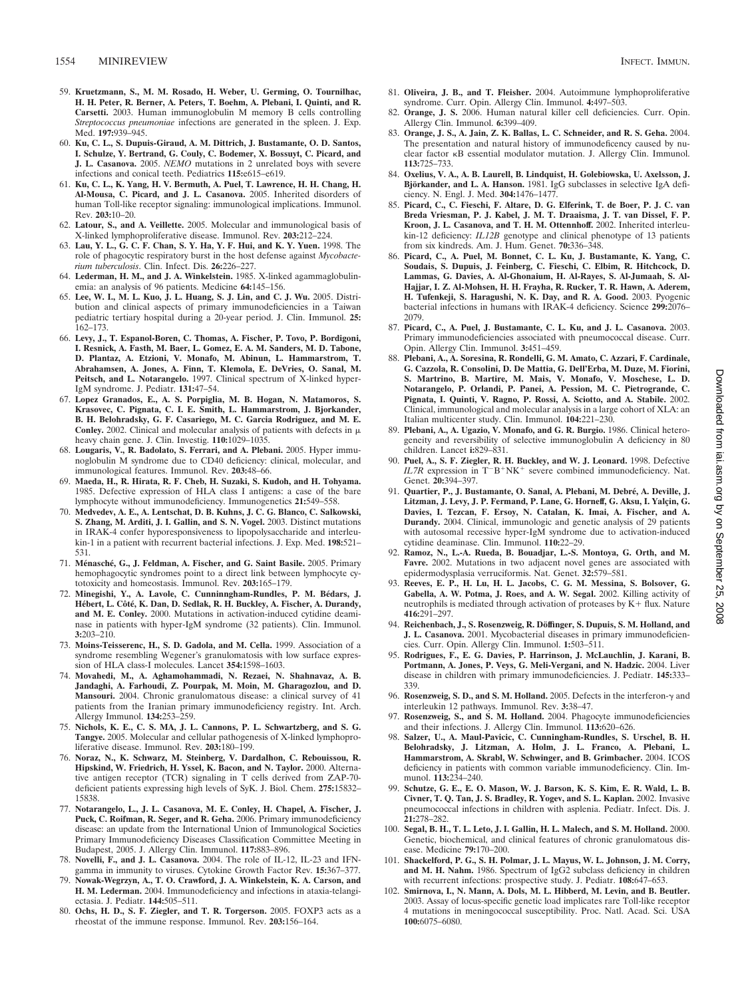- 59. **Kruetzmann, S., M. M. Rosado, H. Weber, U. Germing, O. Tournilhac, H. H. Peter, R. Berner, A. Peters, T. Boehm, A. Plebani, I. Quinti, and R. Carsetti.** 2003. Human immunoglobulin M memory B cells controlling *Streptococcus pneumoniae* infections are generated in the spleen. J. Exp. Med. **197:**939–945.
- 60. **Ku, C. L., S. Dupuis-Giraud, A. M. Dittrich, J. Bustamante, O. D. Santos, I. Schulze, Y. Bertrand, G. Couly, C. Bodemer, X. Bossuyt, C. Picard, and J. L. Casanova.** 2005. *NEMO* mutations in 2 unrelated boys with severe infections and conical teeth. Pediatrics **115:**e615–e619.
- 61. **Ku, C. L., K. Yang, H. V. Bermuth, A. Puel, T. Lawrence, H. H. Chang, H. Al-Mousa, C. Picard, and J. L. Casanova.** 2005. Inherited disorders of human Toll-like receptor signaling: immunological implications. Immunol. Rev. **203:**10–20.
- 62. **Latour, S., and A. Veillette.** 2005. Molecular and immunological basis of X-linked lymphoproliferative disease. Immunol. Rev. **203:**212–224.
- 63. **Lau, Y. L., G. C. F. Chan, S. Y. Ha, Y. F. Hui, and K. Y. Yuen.** 1998. The role of phagocytic respiratory burst in the host defense against *Mycobacterium tuberculosis*. Clin. Infect. Dis. **26:**226–227.
- 64. **Lederman, H. M., and J. A. Winkelstein.** 1985. X-linked agammaglobulinemia: an analysis of 96 patients. Medicine **64:**145–156.
- 65. **Lee, W. I., M. L. Kuo, J. L. Huang, S. J. Lin, and C. J. Wu.** 2005. Distribution and clinical aspects of primary immunodeficiencies in a Taiwan pediatric tertiary hospital during a 20-year period. J. Clin. Immunol. **25:** 162–173.
- 66. **Levy, J., T. Espanol-Boren, C. Thomas, A. Fischer, P. Tovo, P. Bordigoni, I. Resnick, A. Fasth, M. Baer, L. Gomez, E. A. M. Sanders, M. D. Tabone, D. Plantaz, A. Etzioni, V. Monafo, M. Abinun, L. Hammarstrom, T. Abrahamsen, A. Jones, A. Finn, T. Klemola, E. DeVries, O. Sanal, M. Peitsch, and L. Notarangelo.** 1997. Clinical spectrum of X-linked hyper-IgM syndrome. J. Pediatr. **131:**47–54.
- 67. **Lopez Granados, E., A. S. Porpiglia, M. B. Hogan, N. Matamoros, S. Krasovec, C. Pignata, C. I. E. Smith, L. Hammarstrom, J. Bjorkander, B. H. Belohradsky, G. F. Casariego, M. C. Garcia Rodriguez, and M. E. Conley.** 2002. Clinical and molecular analysis of patients with defects in  $\mu$ heavy chain gene. J. Clin. Investig. **110:**1029–1035.
- 68. **Lougaris, V., R. Badolato, S. Ferrari, and A. Plebani.** 2005. Hyper immunoglobulin M syndrome due to CD40 deficiency: clinical, molecular, and immunological features. Immunol. Rev. **203:**48–66.
- 69. **Maeda, H., R. Hirata, R. F. Cheb, H. Suzaki, S. Kudoh, and H. Tohyama.** 1985. Defective expression of HLA class I antigens: a case of the bare lymphocyte without immunodeficiency. Immunogenetics **21:**549–558.
- 70. **Medvedev, A. E., A. Lentschat, D. B. Kuhns, J. C. G. Blanco, C. Salkowski, S. Zhang, M. Arditi, J. I. Gallin, and S. N. Vogel.** 2003. Distinct mutations in IRAK-4 confer hyporesponsiveness to lipopolysaccharide and interleukin-1 in a patient with recurrent bacterial infections. J. Exp. Med. **198:**521– 531.
- 71. Ménasché, G., J. Feldman, A. Fischer, and G. Saint Basile. 2005. Primary hemophagocytic syndromes point to a direct link between lymphocyte cytotoxicity and homeostasis. Immunol. Rev. **203:**165–179.
- 72. Minegishi, Y., A. Lavole, C. Cunninngham-Rundles, P. M. Bédars, J. Hébert, L. Côté, K. Dan, D. Sedlak, R. H. Buckley, A. Fischer, A. Durandy, **and M. E. Conley.** 2000. Mutations in activation-induced cytidine deaminase in patients with hyper-IgM syndrome (32 patients). Clin. Immunol. **3:**203–210.
- 73. **Moins-Teisserenc, H., S. D. Gadola, and M. Cella.** 1999. Association of a syndrome resembling Wegener's granulomatosis with low surface expression of HLA class-I molecules. Lancet **354:**1598–1603.
- 74. **Movahedi, M., A. Aghamohammadi, N. Rezaei, N. Shahnavaz, A. B. Jandaghi, A. Farhoudi, Z. Pourpak, M. Moin, M. Gharagozlou, and D. Mansouri.** 2004. Chronic granulomatous disease: a clinical survey of 41 patients from the Iranian primary immunodeficiency registry. Int. Arch. Allergy Immunol. **134:**253–259.
- 75. **Nichols, K. E., C. S. MA, J. L. Cannons, P. L. Schwartzberg, and S. G. Tangye.** 2005. Molecular and cellular pathogenesis of X-linked lymphoproliferative disease. Immunol. Rev. **203:**180–199.
- 76. **Noraz, N., K. Schwarz, M. Steinberg, V. Dardalhon, C. Rebouissou, R. Hipskind, W. Friedrich, H. Yssel, K. Bacon, and N. Taylor.** 2000. Alternative antigen receptor (TCR) signaling in T cells derived from ZAP-70 deficient patients expressing high levels of SyK. J. Biol. Chem. **275:**15832– 15838.
- 77. **Notarangelo, L., J. L. Casanova, M. E. Conley, H. Chapel, A. Fischer, J. Puck, C. Roifman, R. Seger, and R. Geha.** 2006. Primary immunodeficiency disease: an update from the International Union of Immunological Societies Primary Immunodeficiency Diseases Classification Committee Meeting in Budapest, 2005. J. Allergy Clin. Immunol. **117:**883–896.
- 78. **Novelli, F., and J. L. Casanova.** 2004. The role of IL-12, IL-23 and IFNgamma in immunity to viruses. Cytokine Growth Factor Rev. **15:**367–377.
- 79. **Nowak-Wegrzyn, A., T. O. Crawford, J. A. Winkelstein, K. A. Carson, and H. M. Lederman.** 2004. Immunodeficiency and infections in ataxia-telangiectasia. J. Pediatr. **144:**505–511.
- 80. **Ochs, H. D., S. F. Ziegler, and T. R. Torgerson.** 2005. FOXP3 acts as a rheostat of the immune response. Immunol. Rev. **203:**156–164.
- 81. **Oliveira, J. B., and T. Fleisher.** 2004. Autoimmune lymphoproliferative syndrome. Curr. Opin. Allergy Clin. Immunol. **4:**497–503.
- 82. **Orange, J. S.** 2006. Human natural killer cell deficiencies. Curr. Opin. Allergy Clin. Immunol. **6:**399–409.
- 83. **Orange, J. S., A. Jain, Z. K. Ballas, L. C. Schneider, and R. S. Geha.** 2004. The presentation and natural history of immunodeficency caused by nuclear factor  $\kappa$ B essential modulator mutation. J. Allergy Clin. Immunol. **113:**725–733.
- 84. **Oxelius, V. A., A. B. Laurell, B. Lindquist, H. Golebiowska, U. Axelsson, J.** Björkander, and L. A. Hanson. 1981. IgG subclasses in selective IgA deficiency. N. Engl. J. Med. **304:**1476–1477.
- 85. **Picard, C., C. Fieschi, F. Altare, D. G. Elferink, T. de Boer, P. J. C. van Breda Vriesman, P. J. Kabel, J. M. T. Draaisma, J. T. van Dissel, F. P. Kroon, J. L. Casanova, and T. H. M. Ottennhoff.** 2002. Inherited interleukin-12 deficiency: *IL12B* genotype and clinical phenotype of 13 patients from six kindreds. Am. J. Hum. Genet. **70:**336–348.
- 86. **Picard, C., A. Puel, M. Bonnet, C. L. Ku, J. Bustamante, K. Yang, C. Soudais, S. Dupuis, J. Feinberg, C. Fieschi, C. Elbim, R. Hitchcock, D. Lammas, G. Davies, A. Al-Ghonaium, H. Al-Rayes, S. Al-Jumaah, S. Al-Hajjar, I. Z. Al-Mohsen, H. H. Frayha, R. Rucker, T. R. Hawn, A. Aderem, H. Tufenkeji, S. Haragushi, N. K. Day, and R. A. Good.** 2003. Pyogenic bacterial infections in humans with IRAK-4 deficiency. Science **299:**2076– 2079.
- 87. **Picard, C., A. Puel, J. Bustamante, C. L. Ku, and J. L. Casanova.** 2003. Primary immunodeficiencies associated with pneumococcal disease. Curr. Opin. Allergy Clin. Immunol. **3:**451–459.
- 88. **Plebani, A., A. Soresina, R. Rondelli, G. M. Amato, C. Azzari, F. Cardinale, G. Cazzola, R. Consolini, D. De Mattia, G. Dell'Erba, M. Duze, M. Fiorini, S. Martrino, B. Martire, M. Mais, V. Monafo, V. Moschese, L. D. Notarangelo, P. Orlandi, P. Panei, A. Pession, M. C. Pietrogrande, C. Pignata, I. Quinti, V. Ragno, P. Rossi, A. Sciotto, and A. Stabile.** 2002. Clinical, immunological and molecular analysis in a large cohort of XLA: an Italian multicenter study. Clin. Immunol. **104:**221–230.
- 89. **Plebani, A., A. Ugazio, V. Monafo, and G. R. Burgio.** 1986. Clinical heterogeneity and reversibility of selective immunoglobulin A deficiency in 80 children. Lancet **i:**829–831.
- 90. **Puel, A., S. F. Ziegler, R. H. Buckley, and W. J. Leonard.** 1998. Defective *IL7R* expression in  $T-B+NK^+$  severe combined immunodeficiency. Nat. Genet. **20:**394–397.
- 91. Quartier, P., J. Bustamante, O. Sanal, A. Plebani, M. Debré, A. Deville, J. Litzman, J. Levy, J. P. Fermand, P. Lane, G. Horneff, G. Aksu, I. Yalçin, G. **Davies, I. Tezcan, F. Ersoy, N. Catalan, K. Imai, A. Fischer, and A. Durandy.** 2004. Clinical, immunologic and genetic analysis of 29 patients with autosomal recessive hyper-IgM syndrome due to activation-induced cytidine deaminase. Clin. Immunol. **110:**22–29.
- 92. **Ramoz, N., L.-A. Rueda, B. Bouadjar, L.-S. Montoya, G. Orth, and M. Favre.** 2002. Mutations in two adjacent novel genes are associated with epidermodysplasia verruciformis. Nat. Genet. **32:**579–581.
- 93. **Reeves, E. P., H. Lu, H. L. Jacobs, C. G. M. Messina, S. Bolsover, G. Gabella, A. W. Potma, J. Roes, and A. W. Segal.** 2002. Killing activity of neutrophils is mediated through activation of proteases by  $K<sup>+</sup>$  flux. Nature **416:**291–297.
- 94. Reichenbach, J., S. Rosenzweig, R. Döffinger, S. Dupuis, S. M. Holland, and **J. L. Casanova.** 2001. Mycobacterial diseases in primary immunodeficiencies. Curr. Opin. Allergy Clin. Immunol. **1:**503–511.
- 95. **Rodrigues, F., E. G. Davies, P. Harrinson, J. McLauchlin, J. Karani, B. Portmann, A. Jones, P. Veys, G. Meli-Vergani, and N. Hadzic.** 2004. Liver disease in children with primary immunodeficiencies. J. Pediatr. **145:**333–
- 339.<br>96. **Rosenzweig, S. D., and S. M. Holland.** 2005. Defects in the interferon-γ and interleukin 12 pathways. Immunol. Rev. **3:**38–47.
- 97. **Rosenzweig, S., and S. M. Holland.** 2004. Phagocyte immunodeficiencies and their infections. J. Allergy Clin. Immunol. **113:**620–626.
- 98. **Salzer, U., A. Maul-Pavicic, C. Cunningham-Rundles, S. Urschel, B. H. Belohradsky, J. Litzman, A. Holm, J. L. Franco, A. Plebani, L. Hammarstrom, A. Skrabl, W. Schwinger, and B. Grimbacher.** 2004. ICOS deficiency in patients with common variable immunodeficiency. Clin. Im-munol. **113:**234–240.
- 99. **Schutze, G. E., E. O. Mason, W. J. Barson, K. S. Kim, E. R. Wald, L. B. Civner, T. Q. Tan, J. S. Bradley, R. Yogev, and S. L. Kaplan.** 2002. Invasive pneumococcal infections in children with asplenia. Pediatr. Infect. Dis. J. **21:**278–282.
- 100. **Segal, B. H., T. L. Leto, J. I. Gallin, H. L. Malech, and S. M. Holland.** 2000. Genetic, biochemical, and clinical features of chronic granulomatous disease. Medicine **79:**170–200.
- 101. **Shackelford, P. G., S. H. Polmar, J. L. Mayus, W. L. Johnson, J. M. Corry, and M. H. Nahm.** 1986. Spectrum of IgG2 subclass deficiency in children with recurrent infections: prospective study. J. Pediatr. **108:**647–653.
- 102. **Smirnova, I., N. Mann, A. Dols, M. L. Hibberd, M. Levin, and B. Beutler.** 2003. Assay of locus-specific genetic load implicates rare Toll-like receptor 4 mutations in meningococcal susceptibility. Proc. Natl. Acad. Sci. USA **100:**6075–6080.